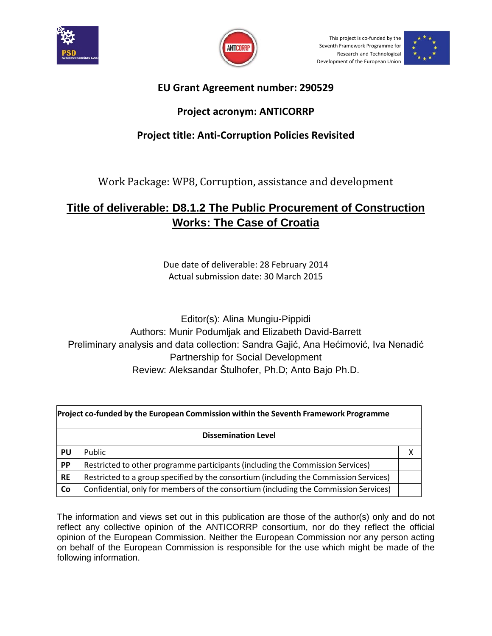



This project is co-funded by the Seventh Framework Programme for Research and Technological Development of the European Union



### **EU Grant Agreement number: 290529**

#### **Project acronym: ANTICORRP**

### **Project title: Anti-Corruption Policies Revisited**

Work Package: WP8, Corruption, assistance and development

# **Title of deliverable: D8.1.2 The Public Procurement of Construction Works: The Case of Croatia**

Due date of deliverable: 28 February 2014 Actual submission date: 30 March 2015

Editor(s): Alina Mungiu-Pippidi Authors: Munir Podumljak and Elizabeth David-Barrett Preliminary analysis and data collection: Sandra Gajić, Ana Hećimović, Iva Nenadić Partnership for Social Development Review: Aleksandar Štulhofer, Ph.D; Anto Bajo Ph.D.

|           | Project co-funded by the European Commission within the Seventh Framework Programme   |   |  |  |  |
|-----------|---------------------------------------------------------------------------------------|---|--|--|--|
|           | <b>Dissemination Level</b>                                                            |   |  |  |  |
| PU        | Public                                                                                | Χ |  |  |  |
| PP        | Restricted to other programme participants (including the Commission Services)        |   |  |  |  |
| <b>RE</b> | Restricted to a group specified by the consortium (including the Commission Services) |   |  |  |  |
| Co        | Confidential, only for members of the consortium (including the Commission Services)  |   |  |  |  |

The information and views set out in this publication are those of the author(s) only and do not reflect any collective opinion of the ANTICORRP consortium, nor do they reflect the official opinion of the European Commission. Neither the European Commission nor any person acting on behalf of the European Commission is responsible for the use which might be made of the following information.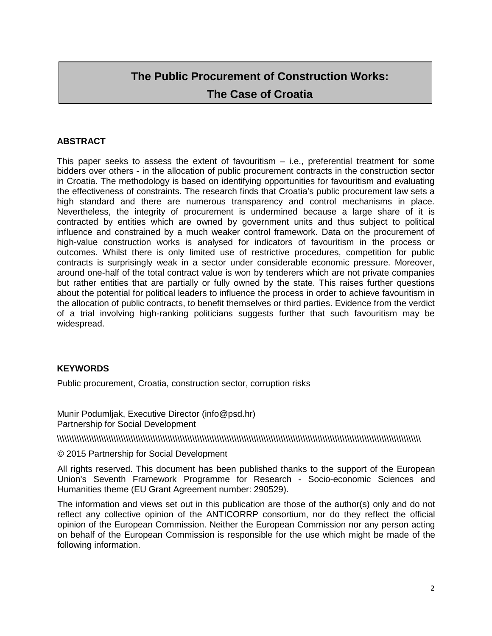# **The Public Procurement of Construction Works: The Case of Croatia**

#### **ABSTRACT**

This paper seeks to assess the extent of favouritism  $-$  i.e., preferential treatment for some bidders over others - in the allocation of public procurement contracts in the construction sector in Croatia. The methodology is based on identifying opportunities for favouritism and evaluating the effectiveness of constraints. The research finds that Croatia's public procurement law sets a high standard and there are numerous transparency and control mechanisms in place. Nevertheless, the integrity of procurement is undermined because a large share of it is contracted by entities which are owned by government units and thus subject to political influence and constrained by a much weaker control framework. Data on the procurement of high-value construction works is analysed for indicators of favouritism in the process or outcomes. Whilst there is only limited use of restrictive procedures, competition for public contracts is surprisingly weak in a sector under considerable economic pressure. Moreover, around one-half of the total contract value is won by tenderers which are not private companies but rather entities that are partially or fully owned by the state. This raises further questions about the potential for political leaders to influence the process in order to achieve favouritism in the allocation of public contracts, to benefit themselves or third parties. Evidence from the verdict of a trial involving high-ranking politicians suggests further that such favouritism may be widespread.

#### **KEYWORDS**

Public procurement, Croatia, construction sector, corruption risks

Munir Podumljak, Executive Director (info@psd.hr) Partnership for Social Development

\\\\\\\\\\\\\\\\\\\\\\\\\\\\\\\\\\\\\\\\\\\\\\\\\\\\\\\\\\\\\\\\\\\\\\\\\\\\\\\\\\\\\\\\\\\\\\\\\\\\\\\\\\\\\\\\\\\\\\\\\\\\\\\\\\\\\\\\\\\\\\\\\\\\

#### © 2015 Partnership for Social Development

All rights reserved. This document has been published thanks to the support of the European Union's Seventh Framework Programme for Research - Socio-economic Sciences and Humanities theme (EU Grant Agreement number: 290529).

The information and views set out in this publication are those of the author(s) only and do not reflect any collective opinion of the ANTICORRP consortium, nor do they reflect the official opinion of the European Commission. Neither the European Commission nor any person acting on behalf of the European Commission is responsible for the use which might be made of the following information.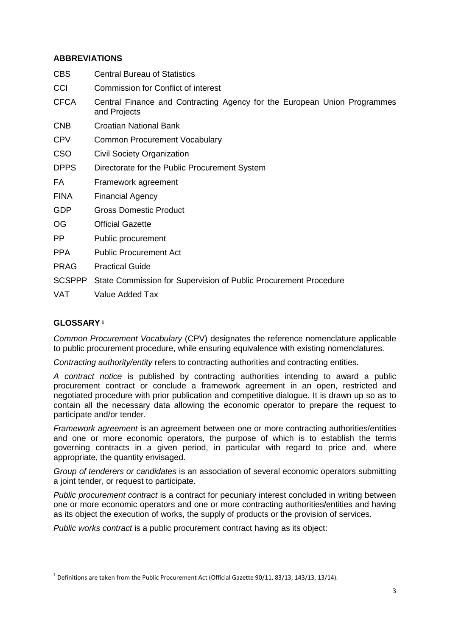#### **ABBREVIATIONS**

| <b>CBS</b>    | <b>Central Bureau of Statistics</b>                                                      |
|---------------|------------------------------------------------------------------------------------------|
| CCI           | Commission for Conflict of interest                                                      |
| <b>CFCA</b>   | Central Finance and Contracting Agency for the European Union Programmes<br>and Projects |
| <b>CNB</b>    | Croatian National Bank                                                                   |
| <b>CPV</b>    | <b>Common Procurement Vocabulary</b>                                                     |
| <b>CSO</b>    | Civil Society Organization                                                               |
| <b>DPPS</b>   | Directorate for the Public Procurement System                                            |
| FA            | Framework agreement                                                                      |
| <b>FINA</b>   | <b>Financial Agency</b>                                                                  |
| <b>GDP</b>    | <b>Gross Domestic Product</b>                                                            |
| OG            | <b>Official Gazette</b>                                                                  |
| PP.           | Public procurement                                                                       |
| <b>PPA</b>    | <b>Public Procurement Act</b>                                                            |
| <b>PRAG</b>   | <b>Practical Guide</b>                                                                   |
| <b>SCSPPP</b> | State Commission for Supervision of Public Procurement Procedure                         |
|               |                                                                                          |

VAT Value Added Tax

#### **GLOSSARY[1](#page-2-0)**

 $\overline{a}$ 

*Common Procurement Vocabulary* (CPV) designates the reference nomenclature applicable to public procurement procedure, while ensuring equivalence with existing nomenclatures.

*Contracting authority/entity* refers to contracting authorities and contracting entities.

*A contract notice* is published by contracting authorities intending to award a public procurement contract or conclude a framework agreement in an open, restricted and negotiated procedure with prior publication and competitive dialogue. It is drawn up so as to contain all the necessary data allowing the economic operator to prepare the request to participate and/or tender.

*Framework agreement* is an agreement between one or more contracting authorities/entities and one or more economic operators, the purpose of which is to establish the terms governing contracts in a given period, in particular with regard to price and, where appropriate, the quantity envisaged.

*Group of tenderers or candidates* is an association of several economic operators submitting a joint tender, or request to participate.

*Public procurement contract* is a contract for pecuniary interest concluded in writing between one or more economic operators and one or more contracting authorities/entities and having as its object the execution of works, the supply of products or the provision of services.

*Public works contract* is a public procurement contract having as its object:

<span id="page-2-0"></span> $1$  Definitions are taken from the Public Procurement Act (Official Gazette 90/11, 83/13, 143/13, 13/14).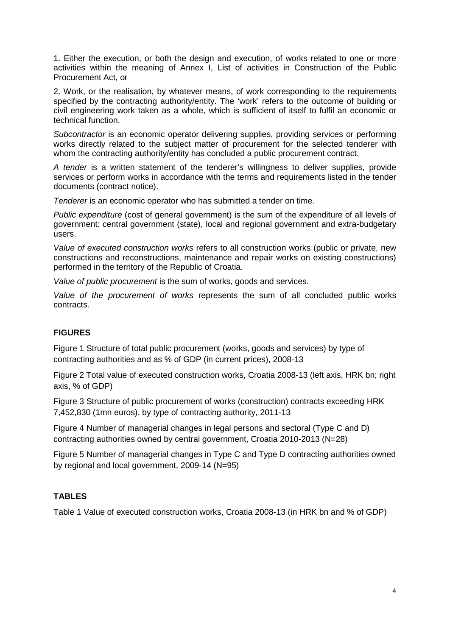1. Either the execution, or both the design and execution, of works related to one or more activities within the meaning of Annex I, List of activities in Construction of the Public Procurement Act, or

2. Work, or the realisation, by whatever means, of work corresponding to the requirements specified by the contracting authority/entity. The 'work' refers to the outcome of building or civil engineering work taken as a whole, which is sufficient of itself to fulfil an economic or technical function.

*Subcontractor* is an economic operator delivering supplies, providing services or performing works directly related to the subject matter of procurement for the selected tenderer with whom the contracting authority/entity has concluded a public procurement contract.

*A tender* is a written statement of the tenderer's willingness to deliver supplies, provide services or perform works in accordance with the terms and requirements listed in the tender documents (contract notice).

*Tenderer* is an economic operator who has submitted a tender on time.

*Public expenditure* (cost of general government) is the sum of the expenditure of all levels of government: central government (state), local and regional government and extra-budgetary users.

*Value of executed construction works* refers to all construction works (public or private, new constructions and reconstructions, maintenance and repair works on existing constructions) performed in the territory of the Republic of Croatia.

*Value of public procurement* is the sum of works, goods and services.

*Value of the procurement of works* represents the sum of all concluded public works contracts.

#### **FIGURES**

Figure 1 Structure of total public procurement (works, goods and services) by type of contracting authorities and as % of GDP (in current prices), 2008-13

Figure 2 Total value of executed construction works, Croatia 2008-13 (left axis, HRK bn; right axis, % of GDP)

Figure 3 Structure of public procurement of works (construction) contracts exceeding HRK 7,452,830 (1mn euros), by type of contracting authority, 2011-13

Figure 4 Number of managerial changes in legal persons and sectoral (Type C and D) contracting authorities owned by central government, Croatia 2010-2013 (N=28)

Figure 5 Number of managerial changes in Type C and Type D contracting authorities owned by regional and local government, 2009-14 (N=95)

#### **TABLES**

Table 1 Value of executed construction works, Croatia 2008-13 (in HRK bn and % of GDP)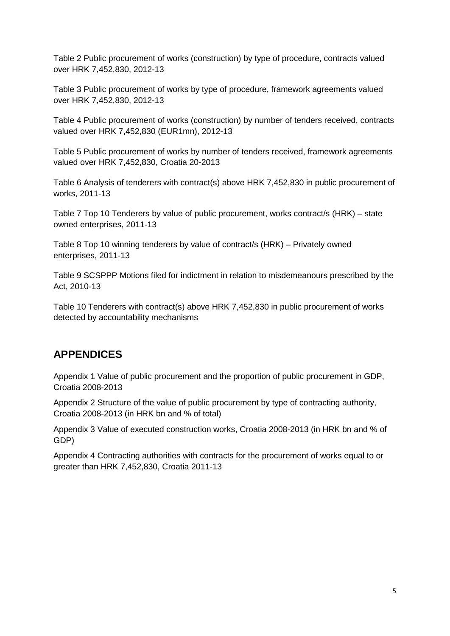Table 2 Public procurement of works (construction) by type of procedure, contracts valued over HRK 7,452,830, 2012-13

Table 3 Public procurement of works by type of procedure, framework agreements valued over HRK 7,452,830, 2012-13

Table 4 Public procurement of works (construction) by number of tenders received, contracts valued over HRK 7,452,830 (EUR1mn), 2012-13

Table 5 Public procurement of works by number of tenders received, framework agreements valued over HRK 7,452,830, Croatia 20-2013

Table 6 Analysis of tenderers with contract(s) above HRK 7,452,830 in public procurement of works, 2011-13

Table 7 Top 10 Tenderers by value of public procurement, works contract/s (HRK) – state owned enterprises, 2011-13

Table 8 Top 10 winning tenderers by value of contract/s (HRK) – Privately owned enterprises, 2011-13

Table 9 SCSPPP Motions filed for indictment in relation to misdemeanours prescribed by the Act, 2010-13

Table 10 Tenderers with contract(s) above HRK 7,452,830 in public procurement of works detected by accountability mechanisms

# **APPENDICES**

Appendix 1 Value of public procurement and the proportion of public procurement in GDP, Croatia 2008-2013

Appendix 2 Structure of the value of public procurement by type of contracting authority, Croatia 2008-2013 (in HRK bn and % of total)

Appendix 3 Value of executed construction works, Croatia 2008-2013 (in HRK bn and % of GDP)

Appendix 4 Contracting authorities with contracts for the procurement of works equal to or greater than HRK 7,452,830, Croatia 2011-13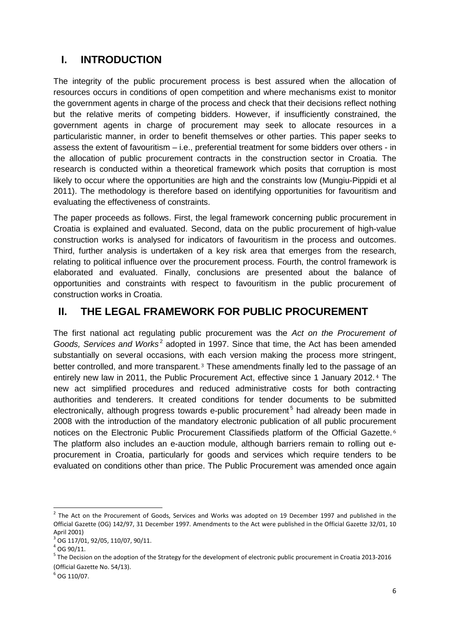# **I. INTRODUCTION**

The integrity of the public procurement process is best assured when the allocation of resources occurs in conditions of open competition and where mechanisms exist to monitor the government agents in charge of the process and check that their decisions reflect nothing but the relative merits of competing bidders. However, if insufficiently constrained, the government agents in charge of procurement may seek to allocate resources in a particularistic manner, in order to benefit themselves or other parties. This paper seeks to assess the extent of favouritism – i.e., preferential treatment for some bidders over others - in the allocation of public procurement contracts in the construction sector in Croatia. The research is conducted within a theoretical framework which posits that corruption is most likely to occur where the opportunities are high and the constraints low (Mungiu-Pippidi et al 2011). The methodology is therefore based on identifying opportunities for favouritism and evaluating the effectiveness of constraints.

The paper proceeds as follows. First, the legal framework concerning public procurement in Croatia is explained and evaluated. Second, data on the public procurement of high-value construction works is analysed for indicators of favouritism in the process and outcomes. Third, further analysis is undertaken of a key risk area that emerges from the research, relating to political influence over the procurement process. Fourth, the control framework is elaborated and evaluated. Finally, conclusions are presented about the balance of opportunities and constraints with respect to favouritism in the public procurement of construction works in Croatia.

## **II. THE LEGAL FRAMEWORK FOR PUBLIC PROCUREMENT**

The first national act regulating public procurement was the *Act on the Procurement of Goods, Services and Works<sup>[2](#page-5-0)</sup>* adopted in 1997. Since that time, the Act has been amended substantially on several occasions, wit[h](#page-5-1) each version making the process more stringent, better controlled, and more transparent.<sup>3</sup> These amendments finally led to the passage [o](#page-5-2)f an entirely new law in 2011, the Public Procurement Act, effective since 1 January 2012. <sup>4</sup> The new act simplified procedures and reduced administrative costs for both contracting authorities and tenderers. It created conditions for tender documents to be submitted electronically, although progress towards e-public procurement<sup>[5](#page-5-3)</sup> had already been made in 2008 with the introduction of the mandatory electronic publication of all public procureme[nt](#page-5-4) notices on the Electronic Public Procurement Classifieds platform of the Official Gazette.<sup>6</sup> The platform also includes an e-auction module, although barriers remain to rolling out eprocurement in Croatia, particularly for goods and services which require tenders to be evaluated on conditions other than price. The Public Procurement was amended once again

 $\overline{\phantom{a}}$ 

<span id="page-5-0"></span> $<sup>2</sup>$  The Act on the Procurement of Goods, Services and Works was adopted on 19 December 1997 and published in the</sup> Official Gazette (OG) 142/97, 31 December 1997. Amendments to the Act were published in the Official Gazette 32/01, 10 April 2001)

<span id="page-5-1"></span> $3$  OG 117/01, 92/05, 110/07, 90/11.

<span id="page-5-2"></span> $4$  OG 90/11.

<span id="page-5-3"></span><sup>&</sup>lt;sup>5</sup> The Decision on the adoption of the Strategy for the development of electronic public procurement in Croatia 2013-2016 (Official Gazette No. 54/13).

<span id="page-5-4"></span> $6$  OG 110/07.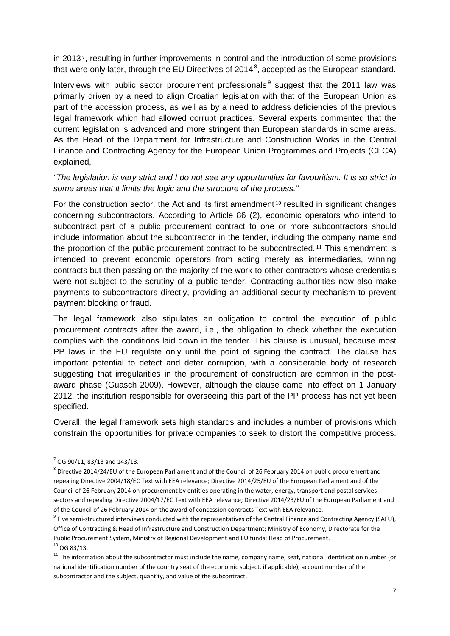in 2013 <sup>7</sup>, resulting in further improvements in control and the introduction of some provisions that we[re](#page-6-0) only later, through the EU Directives of 2014<sup>[8](#page-6-1)</sup>, accepted as the European standard.

Interviews with public sector procurement professionals  $9$  suggest that the 2011 law was primarily driven by a need to align Croatian legislation with that of the European Union as part of the accession process, as well as by a need to address deficiencies of the previous legal framework which had allowed corrupt practices. Several experts commented that the current legislation is advanced and more stringent than European standards in some areas. As the Head of the Department for Infrastructure and Construction Works in the Central Finance and Contracting Agency for the European Union Programmes and Projects (CFCA) explained,

*"The legislation is very strict and I do not see any opportunities for favouritism. It is so strict in some areas that it limits the logic and the structure of the process."* 

For the construction sector, the Act and its first amendment<sup>10</sup> resulted in significant changes concerning subcontractors. According to Article 86 (2), ec[on](#page-6-3)omic operators who intend to subcontract part of a public procurement contract to one or more subcontractors should include information about the subcontractor in the tender, including th[e](#page-6-4) company name and the proportion of the public procurement contract to be subcontracted. <sup>11</sup> This amendment is intended to prevent economic operators from acting merely as intermediaries, winning contracts but then passing on the majority of the work to other contractors whose credentials were not subject to the scrutiny of a public tender. Contracting authorities now also make payments to subcontractors directly, providing an additional security mechanism to prevent payment blocking or fraud.

The legal framework also stipulates an obligation to control the execution of public procurement contracts after the award, i.e., the obligation to check whether the execution complies with the conditions laid down in the tender. This clause is unusual, because most PP laws in the EU regulate only until the point of signing the contract. The clause has important potential to detect and deter corruption, with a considerable body of research suggesting that irregularities in the procurement of construction are common in the postaward phase (Guasch 2009). However, although the clause came into effect on 1 January 2012, the institution responsible for overseeing this part of the PP process has not yet been specified.

Overall, the legal framework sets high standards and includes a number of provisions which constrain the opportunities for private companies to seek to distort the competitive process.

 $\overline{a}$ 

<span id="page-6-0"></span> $7$  OG 90/11, 83/13 and 143/13.

<span id="page-6-1"></span><sup>8</sup> Directive 2014/24/EU of the European Parliament and of the Council of 26 February 2014 on public procurement and repealing Directive 2004/18/EC Text with EEA relevance; Directive 2014/25/EU of the European Parliament and of the Council of 26 February 2014 on procurement by entities operating in the water, energy, transport and postal services sectors and repealing Directive 2004/17/EC Text with EEA relevance; Directive 2014/23/EU of the European Parliament and of the Council of 26 February 2014 on the award of concession contracts Text with EEA relevance.

<span id="page-6-2"></span> $9$  Five semi-structured interviews conducted with the representatives of the Central Finance and Contracting Agency (SAFU), Office of Contracting & Head of Infrastructure and Construction Department; Ministry of Economy, Directorate for the Public Procurement System, Ministry of Regional Development and EU funds: Head of Procurement.  $10$  OG 83/13.

<span id="page-6-4"></span><span id="page-6-3"></span> $11$  The information about the subcontractor must include the name, company name, seat, national identification number (or national identification number of the country seat of the economic subject, if applicable), account number of the subcontractor and the subject, quantity, and value of the subcontract.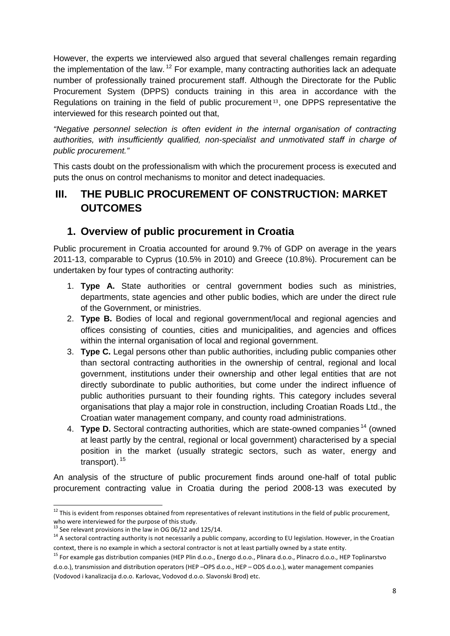However, the experts we interviewed also argued that several challenges remain regarding the implementation of the law.  $12$  For example, many contracting authorities lack an adequate number of professionally trained procurement staff. Although the Directorate for the Public Procurement System (DPPS) conducts training in thi[s](#page-7-1) area in accordance with the Regulations on training in the field of public procurement <sup>13</sup>, one DPPS representative the interviewed for this research pointed out that,

*"Negative personnel selection is often evident in the internal organisation of contracting authorities, with insufficiently qualified, non-specialist and unmotivated staff in charge of public procurement."* 

This casts doubt on the professionalism with which the procurement process is executed and puts the onus on control mechanisms to monitor and detect inadequacies.

## **III. THE PUBLIC PROCUREMENT OF CONSTRUCTION: MARKET OUTCOMES**

## **1. Overview of public procurement in Croatia**

Public procurement in Croatia accounted for around 9.7% of GDP on average in the years 2011-13, comparable to Cyprus (10.5% in 2010) and Greece (10.8%). Procurement can be undertaken by four types of contracting authority:

- 1. **Type A.** State authorities or central government bodies such as ministries, departments, state agencies and other public bodies, which are under the direct rule of the Government, or ministries.
- 2. **Type B.** Bodies of local and regional government/local and regional agencies and offices consisting of counties, cities and municipalities, and agencies and offices within the internal organisation of local and regional government.
- 3. **Type C.** Legal persons other than public authorities, including public companies other than sectoral contracting authorities in the ownership of central, regional and local government, institutions under their ownership and other legal entities that are not directly subordinate to public authorities, but come under the indirect influence of public authorities pursuant to their founding rights. This category includes several organisations that play a major role in construction, including Croatian Roads Ltd., the Croatian water management company, and county road administrations.
- 4. **Type D.** Sectoral contracting authorities, which are state-owned companies<sup>[14](#page-7-2)</sup> (owned at least partly by the central, regional or local government) characterised by a special position in the market (usually strategic sectors, such as water, energy and transport). [15](#page-7-3)

An analysis of the structure of public procurement finds around one-half of total public procurement contracting value in Croatia during the period 2008-13 was executed by

<span id="page-7-0"></span> $12$  This is evident from responses obtained from representatives of relevant institutions in the field of public procurement, who were interviewed for the purpose of this study.<br>
<sup>13</sup> See relevant provisions in the law in OG 06/12 and 125/14.  $\overline{a}$ 

<span id="page-7-2"></span><span id="page-7-1"></span> $14$  A sectoral contracting authority is not necessarily a public company, according to EU legislation. However, in the Croatian context, there is no example in which a sectoral contractor is not at least partially owned by a state entity.

<span id="page-7-3"></span><sup>&</sup>lt;sup>15</sup> For example gas distribution companies (HEP Plin d.o.o., Energo d.o.o., Plinara d.o.o., Plinacro d.o.o., HEP Toplinarstvo d.o.o.), transmission and distribution operators (HEP –OPS d.o.o., HEP – ODS d.o.o.), water management companies (Vodovod i kanalizacija d.o.o. Karlovac, Vodovod d.o.o. Slavonski Brod) etc.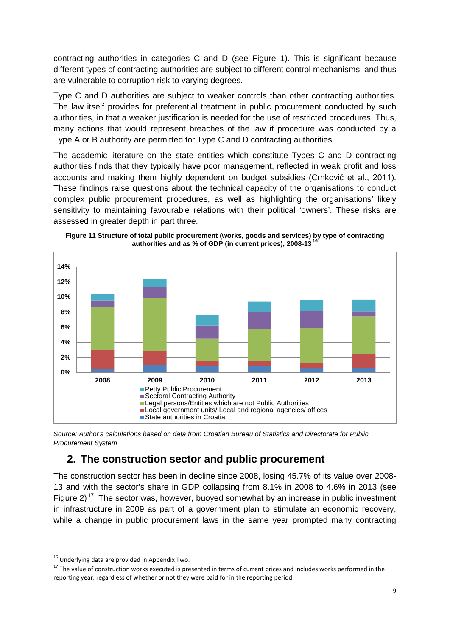contracting authorities in categories C and D (see Figure 1). This is significant because different types of contracting authorities are subject to different control mechanisms, and thus are vulnerable to corruption risk to varying degrees.

Type C and D authorities are subject to weaker controls than other contracting authorities. The law itself provides for preferential treatment in public procurement conducted by such authorities, in that a weaker justification is needed for the use of restricted procedures. Thus, many actions that would represent breaches of the law if procedure was conducted by a Type A or B authority are permitted for Type C and D contracting authorities.

The academic literature on the state entities which constitute Types C and D contracting authorities finds that they typically have poor management, reflected in weak profit and loss accounts and making them highly dependent on budget subsidies (Crnković et al., 2011). These findings raise questions about the technical capacity of the organisations to conduct complex public procurement procedures, as well as highlighting the organisations' likely sensitivity to maintaining favourable relations with their political 'owners'. These risks are assessed in greater depth in part three.



**Figure 11 Structure of total public procurement (works, goods and services) by type of contracting**  authorities and as % of GDP (in current prices), 2008-13<sup>7</sup>

*Source: Author's calculations based on data from Croatian Bureau of Statistics and Directorate for Public Procurement System*

## **2. The construction sector and public procurement**

The construction sector has been in decline since 2008, losing 45.7% of its value over 2008- 13 and with the sector's share in GDP collapsing from 8.1% in 2008 to 4.6% in 2013 (see Figure 2)<sup>[17](#page-8-1)</sup>. The sector was, however, buoyed somewhat by an increase in public investment in infrastructure in 2009 as part of a government plan to stimulate an economic recovery, while a change in public procurement laws in the same year prompted many contracting

 $^{16}$  Underlying data are provided in Appendix Two.  $\overline{a}$ 

<span id="page-8-1"></span><span id="page-8-0"></span><sup>&</sup>lt;sup>17</sup> The value of construction works executed is presented in terms of current prices and includes works performed in the reporting year, regardless of whether or not they were paid for in the reporting period.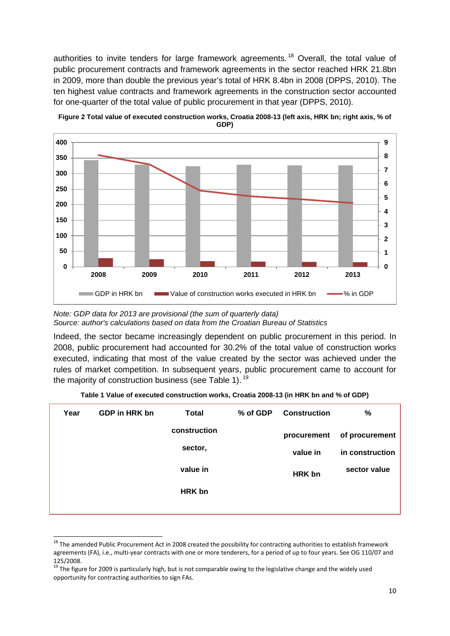authorities to invite tenders for large framework agreements.<sup>[18](#page-9-0)</sup> Overall, the total value of public procurement contracts and framework agreements in the sector reached HRK 21.8bn in 2009, more than double the previous year's total of HRK 8.4bn in 2008 (DPPS, 2010). The ten highest value contracts and framework agreements in the construction sector accounted for one-quarter of the total value of public procurement in that year (DPPS, 2010).



**Figure 2 Total value of executed construction works, Croatia 2008-13 (left axis, HRK bn; right axis, % of GDP)**

Indeed, the sector became increasingly dependent on public procurement in this period. In 2008, public procurement had accounted for 30.2% of the total value of construction works executed, indicating that most of the value created by the sector was achieved under the rules of market competition. In subsequent years, public procurement came to account for the majority of construction business (see Table 1).<sup>[19](#page-9-1)</sup>

| Year | GDP in HRK bn | Total         | % of GDP | <b>Construction</b> | %               |
|------|---------------|---------------|----------|---------------------|-----------------|
|      |               | construction  |          | procurement         | of procurement  |
|      |               | sector,       |          | value in            | in construction |
|      |               | value in      |          | <b>HRK</b> bn       | sector value    |
|      |               | <b>HRK</b> bn |          |                     |                 |
|      |               |               |          |                     |                 |

**Table 1 Value of executed construction works, Croatia 2008-13 (in HRK bn and % of GDP)**

*Note: GDP data for 2013 are provisional (the sum of quarterly data) Source: author's calculations based on data from the Croatian Bureau of Statistics*

<span id="page-9-0"></span><sup>&</sup>lt;sup>18</sup> The amended Public Procurement Act in 2008 created the possibility for contracting authorities to establish framework agreements (FA), i.e., multi-year contracts with one or more tenderers, for a period of up to four years. See OG 110/07 and 125/2008.  $\ddot{\phantom{a}}$ 

<span id="page-9-1"></span> $19$  The figure for 2009 is particularly high, but is not comparable owing to the legislative change and the widely used opportunity for contracting authorities to sign FAs.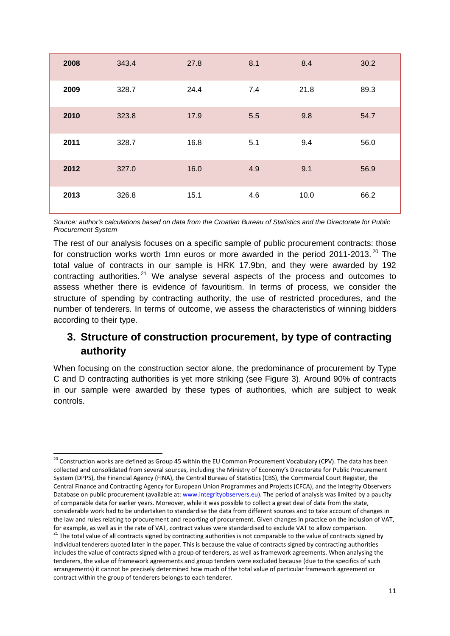| 2008 | 343.4 | 27.8 | 8.1 | 8.4  | 30.2 |
|------|-------|------|-----|------|------|
| 2009 | 328.7 | 24.4 | 7.4 | 21.8 | 89.3 |
| 2010 | 323.8 | 17.9 | 5.5 | 9.8  | 54.7 |
| 2011 | 328.7 | 16.8 | 5.1 | 9.4  | 56.0 |
| 2012 | 327.0 | 16.0 | 4.9 | 9.1  | 56.9 |
| 2013 | 326.8 | 15.1 | 4.6 | 10.0 | 66.2 |

*Source: author's calculations based on data from the Croatian Bureau of Statistics and the Directorate for Public Procurement System*

The rest of our analysis focuses on a specific sample of public procurement contracts: those for construction works worth 1mn euros or more awarded in the period [20](#page-10-0)11-2013.<sup>20</sup> The total value of contracts in our sample is HRK 17.9bn, and they were awarded by 192 contracting authorities.  $21$  We analyse several aspects of the process and outcomes to assess whether there is evidence of favouritism. In terms of process, we consider the structure of spending by contracting authority, the use of restricted procedures, and the number of tenderers. In terms of outcome, we assess the characteristics of winning bidders according to their type.

# **3. Structure of construction procurement, by type of contracting authority**

When focusing on the construction sector alone, the predominance of procurement by Type C and D contracting authorities is yet more striking (see Figure 3). Around 90% of contracts in our sample were awarded by these types of authorities, which are subject to weak controls.

 $\overline{\phantom{a}}$ 

<span id="page-10-1"></span><span id="page-10-0"></span><sup>&</sup>lt;sup>20</sup> Construction works are defined as Group 45 within the EU Common Procurement Vocabulary (CPV). The data has been collected and consolidated from several sources, including the Ministry of Economy's Directorate for Public Procurement System (DPPS), the Financial Agency (FINA), the Central Bureau of Statistics (CBS), the Commercial Court Register, the Central Finance and Contracting Agency for European Union Programmes and Projects (CFCA), and the Integrity Observers Database on public procurement (available at: [www.integrityobservers.eu\)](http://www.integrityobservers.eu/). The period of analysis was limited by a paucity of comparable data for earlier years. Moreover, while it was possible to collect a great deal of data from the state, considerable work had to be undertaken to standardise the data from different sources and to take account of changes in the law and rules relating to procurement and reporting of procurement. Given changes in practice on the inclusion of VAT, for example, as well as in the rate of VAT, contract values were standardised to exclude VAT to allow comparison.<br><sup>21</sup> The total value of all contracts signed by contracting authorities is not comparable to the value of c individual tenderers quoted later in the paper. This is because the value of contracts signed by contracting authorities includes the value of contracts signed with a group of tenderers, as well as framework agreements. When analysing the tenderers, the value of framework agreements and group tenders were excluded because (due to the specifics of such arrangements) it cannot be precisely determined how much of the total value of particular framework agreement or contract within the group of tenderers belongs to each tenderer.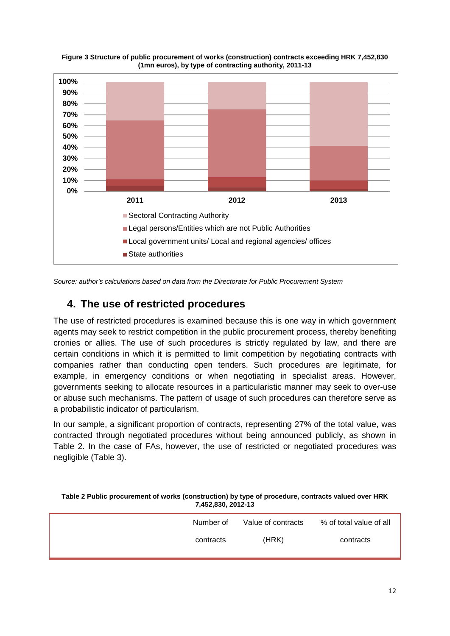

**Figure 3 Structure of public procurement of works (construction) contracts exceeding HRK 7,452,830 (1mn euros), by type of contracting authority, 2011-13**

*Source: author's calculations based on data from the Directorate for Public Procurement System*

## **4. The use of restricted procedures**

The use of restricted procedures is examined because this is one way in which government agents may seek to restrict competition in the public procurement process, thereby benefiting cronies or allies. The use of such procedures is strictly regulated by law, and there are certain conditions in which it is permitted to limit competition by negotiating contracts with companies rather than conducting open tenders. Such procedures are legitimate, for example, in emergency conditions or when negotiating in specialist areas. However, governments seeking to allocate resources in a particularistic manner may seek to over-use or abuse such mechanisms. The pattern of usage of such procedures can therefore serve as a probabilistic indicator of particularism.

In our sample, a significant proportion of contracts, representing 27% of the total value, was contracted through negotiated procedures without being announced publicly, as shown in Table 2. In the case of FAs, however, the use of restricted or negotiated procedures was negligible (Table 3).

#### **Table 2 Public procurement of works (construction) by type of procedure, contracts valued over HRK 7,452,830, 2012-13**

| Number of | Value of contracts | % of total value of all |
|-----------|--------------------|-------------------------|
| contracts | (HRK)              | contracts               |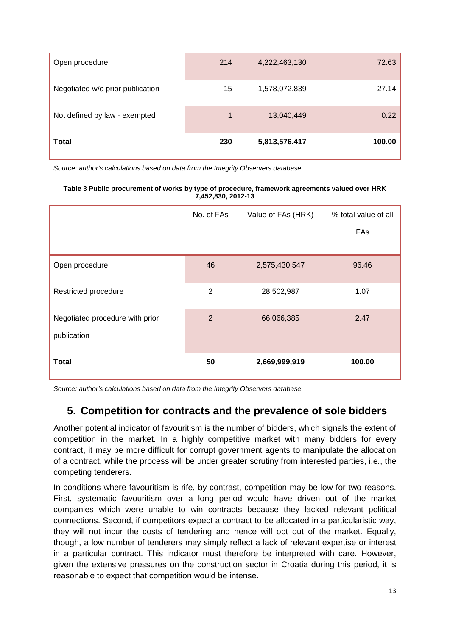| Open procedure                   | 214 | 4,222,463,130 | 72.63  |
|----------------------------------|-----|---------------|--------|
| Negotiated w/o prior publication | 15  | 1,578,072,839 | 27.14  |
| Not defined by law - exempted    | 1   | 13,040,449    | 0.22   |
| <b>Total</b>                     | 230 | 5,813,576,417 | 100.00 |

*Source: author's calculations based on data from the Integrity Observers database.* 

#### **Table 3 Public procurement of works by type of procedure, framework agreements valued over HRK 7,452,830, 2012-13**

|                                                | No. of FAs     | Value of FAs (HRK) | % total value of all |
|------------------------------------------------|----------------|--------------------|----------------------|
|                                                |                |                    | FAs                  |
|                                                |                |                    |                      |
| Open procedure                                 | 46             | 2,575,430,547      | 96.46                |
| Restricted procedure                           | $\overline{2}$ | 28,502,987         | 1.07                 |
| Negotiated procedure with prior<br>publication | $\overline{2}$ | 66,066,385         | 2.47                 |
| <b>Total</b>                                   | 50             | 2,669,999,919      | 100.00               |

*Source: author's calculations based on data from the Integrity Observers database.* 

# **5. Competition for contracts and the prevalence of sole bidders**

Another potential indicator of favouritism is the number of bidders, which signals the extent of competition in the market. In a highly competitive market with many bidders for every contract, it may be more difficult for corrupt government agents to manipulate the allocation of a contract, while the process will be under greater scrutiny from interested parties, i.e., the competing tenderers.

In conditions where favouritism is rife, by contrast, competition may be low for two reasons. First, systematic favouritism over a long period would have driven out of the market companies which were unable to win contracts because they lacked relevant political connections. Second, if competitors expect a contract to be allocated in a particularistic way, they will not incur the costs of tendering and hence will opt out of the market. Equally, though, a low number of tenderers may simply reflect a lack of relevant expertise or interest in a particular contract. This indicator must therefore be interpreted with care. However, given the extensive pressures on the construction sector in Croatia during this period, it is reasonable to expect that competition would be intense.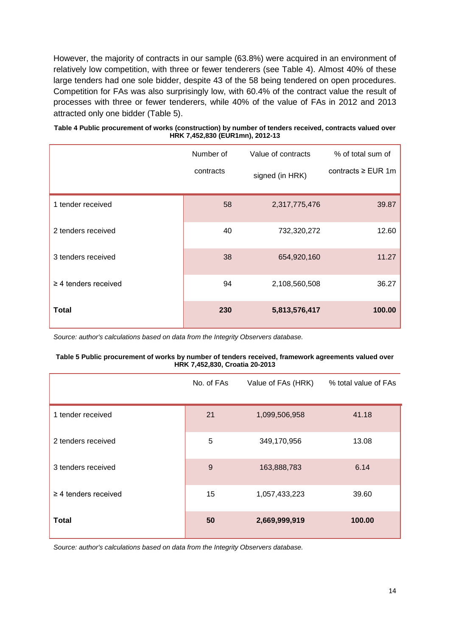However, the majority of contracts in our sample (63.8%) were acquired in an environment of relatively low competition, with three or fewer tenderers (see Table 4). Almost 40% of these large tenders had one sole bidder, despite 43 of the 58 being tendered on open procedures. Competition for FAs was also surprisingly low, with 60.4% of the contract value the result of processes with three or fewer tenderers, while 40% of the value of FAs in 2012 and 2013 attracted only one bidder (Table 5).

| Table 4 Public procurement of works (construction) by number of tenders received, contracts valued over |
|---------------------------------------------------------------------------------------------------------|
| HRK 7,452,830 (EUR1mn), 2012-13                                                                         |

|                           | Number of | Value of contracts | % of total sum of      |
|---------------------------|-----------|--------------------|------------------------|
|                           | contracts | signed (in HRK)    | contracts $\ge$ EUR 1m |
| 1 tender received         | 58        | 2,317,775,476      | 39.87                  |
| 2 tenders received        | 40        | 732,320,272        | 12.60                  |
| 3 tenders received        | 38        | 654,920,160        | 11.27                  |
| $\geq$ 4 tenders received | 94        | 2,108,560,508      | 36.27                  |
| Total                     | 230       | 5,813,576,417      | 100.00                 |

*Source: author's calculations based on data from the Integrity Observers database.* 

#### **Table 5 Public procurement of works by number of tenders received, framework agreements valued over HRK 7,452,830, Croatia 20-2013**

|                           | No. of FAs | Value of FAs (HRK) | % total value of FAs |
|---------------------------|------------|--------------------|----------------------|
| 1 tender received         | 21         | 1,099,506,958      | 41.18                |
| 2 tenders received        | 5          | 349,170,956        | 13.08                |
| 3 tenders received        | 9          | 163,888,783        | 6.14                 |
| $\geq$ 4 tenders received | 15         | 1,057,433,223      | 39.60                |
| <b>Total</b>              | 50         | 2,669,999,919      | 100.00               |

*Source: author's calculations based on data from the Integrity Observers database.*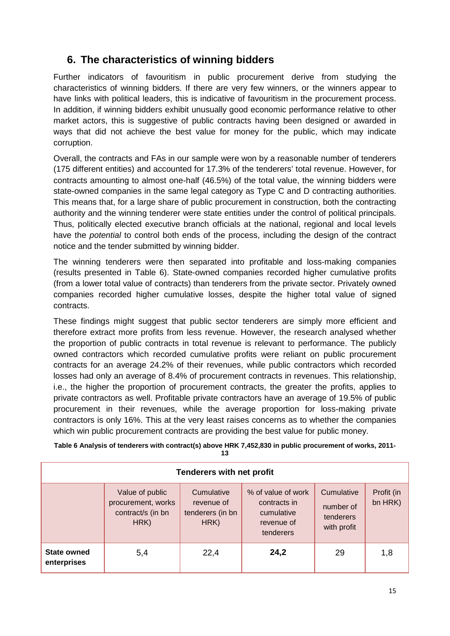# **6. The characteristics of winning bidders**

Further indicators of favouritism in public procurement derive from studying the characteristics of winning bidders. If there are very few winners, or the winners appear to have links with political leaders, this is indicative of favouritism in the procurement process. In addition, if winning bidders exhibit unusually good economic performance relative to other market actors, this is suggestive of public contracts having been designed or awarded in ways that did not achieve the best value for money for the public, which may indicate corruption.

Overall, the contracts and FAs in our sample were won by a reasonable number of tenderers (175 different entities) and accounted for 17.3% of the tenderers' total revenue. However, for contracts amounting to almost one-half (46.5%) of the total value, the winning bidders were state-owned companies in the same legal category as Type C and D contracting authorities. This means that, for a large share of public procurement in construction, both the contracting authority and the winning tenderer were state entities under the control of political principals. Thus, politically elected executive branch officials at the national, regional and local levels have the *potential* to control both ends of the process, including the design of the contract notice and the tender submitted by winning bidder.

The winning tenderers were then separated into profitable and loss-making companies (results presented in Table 6). State-owned companies recorded higher cumulative profits (from a lower total value of contracts) than tenderers from the private sector. Privately owned companies recorded higher cumulative losses, despite the higher total value of signed contracts.

These findings might suggest that public sector tenderers are simply more efficient and therefore extract more profits from less revenue. However, the research analysed whether the proportion of public contracts in total revenue is relevant to performance. The publicly owned contractors which recorded cumulative profits were reliant on public procurement contracts for an average 24.2% of their revenues, while public contractors which recorded losses had only an average of 8.4% of procurement contracts in revenues. This relationship, i.e., the higher the proportion of procurement contracts, the greater the profits, applies to private contractors as well. Profitable private contractors have an average of 19.5% of public procurement in their revenues, while the average proportion for loss-making private contractors is only 16%. This at the very least raises concerns as to whether the companies which win public procurement contracts are providing the best value for public money.

| <b>Tenderers with net profit</b>  |                                                                    |                                                      |                                                                             |                                                     |                       |  |  |
|-----------------------------------|--------------------------------------------------------------------|------------------------------------------------------|-----------------------------------------------------------------------------|-----------------------------------------------------|-----------------------|--|--|
|                                   | Value of public<br>procurement, works<br>contract/s (in bn<br>HRK) | Cumulative<br>revenue of<br>tenderers (in bn<br>HRK) | % of value of work<br>contracts in<br>cumulative<br>revenue of<br>tenderers | Cumulative<br>number of<br>tenderers<br>with profit | Profit (in<br>bn HRK) |  |  |
| <b>State owned</b><br>enterprises | 5,4                                                                | 22,4                                                 | 24,2                                                                        | 29                                                  | 1,8                   |  |  |

**Table 6 Analysis of tenderers with contract(s) above HRK 7,452,830 in public procurement of works, 2011- 13**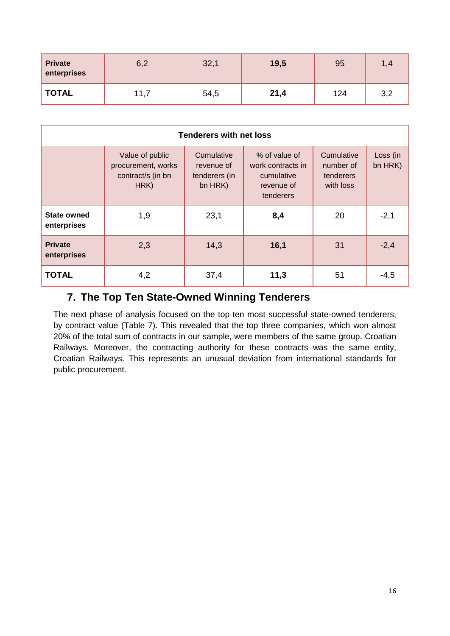| <b>Private</b><br>enterprises | 6,2  | 32,1 | 19,5 | 95  | 1,4<br>л |
|-------------------------------|------|------|------|-----|----------|
| <b>TOTAL</b>                  | 11,7 | 54,5 | 21,4 | 124 | 3,2      |

| <b>Tenderers with net loss</b>    |                                                                    |                                                      |                                                                             |                                                   |                     |  |  |
|-----------------------------------|--------------------------------------------------------------------|------------------------------------------------------|-----------------------------------------------------------------------------|---------------------------------------------------|---------------------|--|--|
|                                   | Value of public<br>procurement, works<br>contract/s (in bn<br>HRK) | Cumulative<br>revenue of<br>tenderers (in<br>bn HRK) | % of value of<br>work contracts in<br>cumulative<br>revenue of<br>tenderers | Cumulative<br>number of<br>tenderers<br>with loss | Loss (in<br>bn HRK) |  |  |
| <b>State owned</b><br>enterprises | 1,9                                                                | 23,1                                                 | 8,4                                                                         | 20                                                | $-2,1$              |  |  |
| <b>Private</b><br>enterprises     | 2,3                                                                | 14,3                                                 | 16,1                                                                        | 31                                                | $-2,4$              |  |  |
| <b>TOTAL</b>                      | 4,2                                                                | 37,4                                                 | 11,3                                                                        | 51                                                | $-4,5$              |  |  |

## **7. The Top Ten State-Owned Winning Tenderers**

The next phase of analysis focused on the top ten most successful state-owned tenderers, by contract value (Table 7). This revealed that the top three companies, which won almost 20% of the total sum of contracts in our sample, were members of the same group, Croatian Railways. Moreover, the contracting authority for these contracts was the same entity, Croatian Railways. This represents an unusual deviation from international standards for public procurement.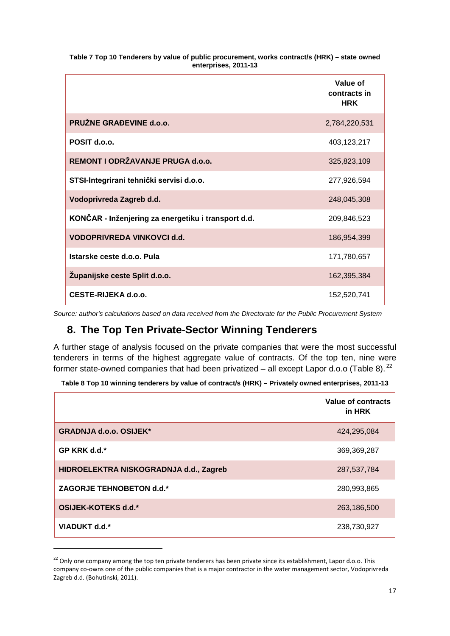|                                                     | Value of<br>contracts in<br><b>HRK</b> |
|-----------------------------------------------------|----------------------------------------|
| PRUŽNE GRAĐEVINE d.o.o.                             | 2,784,220,531                          |
| POSIT d.o.o.                                        | 403,123,217                            |
| REMONT I ODRŽAVANJE PRUGA d.o.o.                    | 325,823,109                            |
| STSI-Integrirani tehnički servisi d.o.o.            | 277,926,594                            |
| Vodoprivreda Zagreb d.d.                            | 248,045,308                            |
| KONČAR - Inženjering za energetiku i transport d.d. | 209,846,523                            |
| VODOPRIVREDA VINKOVCI d.d.                          | 186,954,399                            |
| Istarske ceste d.o.o. Pula                          | 171,780,657                            |
| Zupanijske ceste Split d.o.o.                       | 162,395,384                            |
| CESTE-RIJEKA d.o.o.                                 | 152,520,741                            |

**Table 7 Top 10 Tenderers by value of public procurement, works contract/s (HRK) – state owned enterprises, 2011-13**

*Source: author's calculations based on data received from the Directorate for the Public Procurement System* 

# **8. The Top Ten Private-Sector Winning Tenderers**

A further stage of analysis focused on the private companies that were the most successful tenderers in terms of the highest aggregate value of contracts. Of the top ten, nine were former state-owned companies that had been privatized – all except Lapor d.o.o (Table 8).<sup>[22](#page-16-0)</sup>

**Table 8 Top 10 winning tenderers by value of contract/s (HRK) – Privately owned enterprises, 2011-13**

|                                        | Value of contracts<br>in HRK |
|----------------------------------------|------------------------------|
| <b>GRADNJA d.o.o. OSIJEK*</b>          | 424,295,084                  |
| GP KRK d.d.*                           | 369,369,287                  |
| HIDROELEKTRA NISKOGRADNJA d.d., Zagreb | 287,537,784                  |
| ZAGORJE TEHNOBETON d.d.*               | 280,993,865                  |
| OSIJEK-KOTEKS d.d.*                    | 263,186,500                  |
| VIADUKT d.d.*                          | 238,730,927                  |

<span id="page-16-0"></span> $22$  Only one company among the top ten private tenderers has been private since its establishment, Lapor d.o.o. This company co-owns one of the public companies that is a major contractor in the water management sector, Vodoprivreda Zagreb d.d. (Bohutinski, 2011).

 $\overline{a}$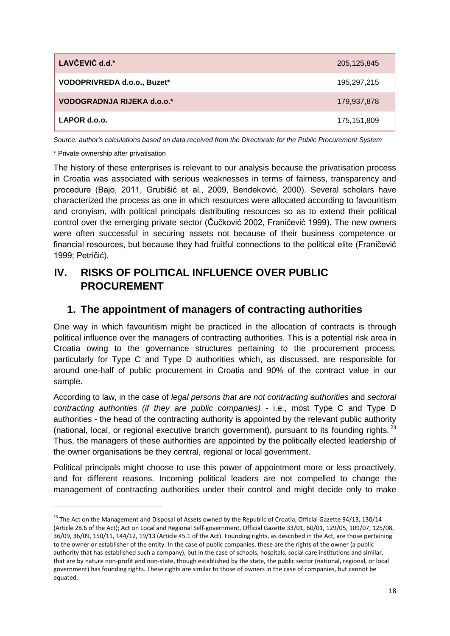| LAVČEVIĆ d.d.*                    | 205,125,845 |
|-----------------------------------|-------------|
| VODOPRIVREDA d.o.o., Buzet*       | 195,297,215 |
| <b>VODOGRADNJA RIJEKA d.o.o.*</b> | 179,937,878 |
| LAPOR d.o.o.                      | 175,151,809 |

*Source: author's calculations based on data received from the Directorate for the Public Procurement System* 

\* Private ownership after privatisation

 $\overline{a}$ 

The history of these enterprises is relevant to our analysis because the privatisation process in Croatia was associated with serious weaknesses in terms of fairness, transparency and procedure (Bajo, 2011, Grubišić et al., 2009, Bendeković, 2000). Several scholars have characterized the process as one in which resources were allocated according to favouritism and cronyism, with political principals distributing resources so as to extend their political control over the emerging private sector (Čučković 2002, Franičević 1999). The new owners were often successful in securing assets not because of their business competence or financial resources, but because they had fruitful connections to the political elite (Franičević 1999; Petričić).

# **IV. RISKS OF POLITICAL INFLUENCE OVER PUBLIC PROCUREMENT**

#### **1. The appointment of managers of contracting authorities**

One way in which favouritism might be practiced in the allocation of contracts is through political influence over the managers of contracting authorities. This is a potential risk area in Croatia owing to the governance structures pertaining to the procurement process, particularly for Type C and Type D authorities which, as discussed, are responsible for around one-half of public procurement in Croatia and 90% of the contract value in our sample.

According to law, in the case of *legal persons that are not contracting authorities* and *sectoral contracting authorities (if they are public companies)* - i.e., most Type C and Type D authorities - the head of the contracting authority is appointed by the relevant public authority (national, local, or regional executive branch government), pursuant to its founding rights.  $^{23}$  $^{23}$  $^{23}$ Thus, the managers of these authorities are appointed by the politically elected leadership of the owner organisations be they central, regional or local government.

Political principals might choose to use this power of appointment more or less proactively, and for different reasons. Incoming political leaders are not compelled to change the management of contracting authorities under their control and might decide only to make

<span id="page-17-0"></span><sup>&</sup>lt;sup>23</sup> The Act on the Management and Disposal of Assets owned by the Republic of Croatia, Official Gazette 94/13, 130/14 (Article 28.6 of the Act); Act on Local and Regional Self-government, Official Gazette 33/01, 60/01, 129/05, 109/07, 125/08, 36/09, 36/09, 150/11, 144/12, 19/13 (Article 45.1 of the Act). Founding rights, as described in the Act, are those pertaining to the owner or establisher of the entity. In the case of public companies, these are the rights of the owner (a public authority that has established such a company), but in the case of schools, hospitals, social care institutions and similar, that are by nature non-profit and non-state, though established by the state, the public sector (national, regional, or local government) has founding rights. These rights are similar to those of owners in the case of companies, but cannot be equated.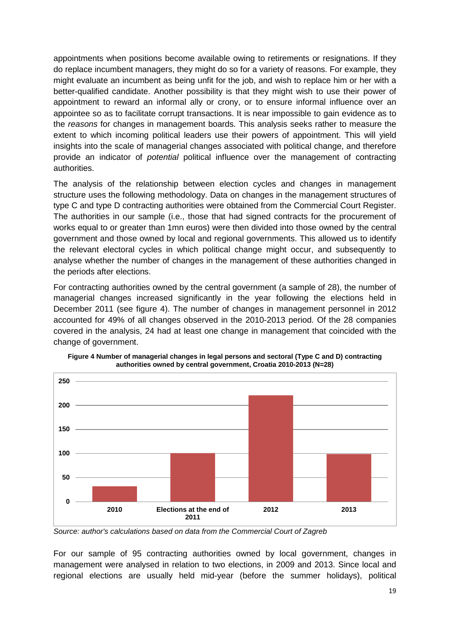appointments when positions become available owing to retirements or resignations. If they do replace incumbent managers, they might do so for a variety of reasons. For example, they might evaluate an incumbent as being unfit for the job, and wish to replace him or her with a better-qualified candidate. Another possibility is that they might wish to use their power of appointment to reward an informal ally or crony, or to ensure informal influence over an appointee so as to facilitate corrupt transactions. It is near impossible to gain evidence as to the *reasons* for changes in management boards. This analysis seeks rather to measure the extent to which incoming political leaders use their powers of appointment. This will yield insights into the scale of managerial changes associated with political change, and therefore provide an indicator of *potential* political influence over the management of contracting authorities.

The analysis of the relationship between election cycles and changes in management structure uses the following methodology. Data on changes in the management structures of type C and type D contracting authorities were obtained from the Commercial Court Register. The authorities in our sample (i.e., those that had signed contracts for the procurement of works equal to or greater than 1mn euros) were then divided into those owned by the central government and those owned by local and regional governments. This allowed us to identify the relevant electoral cycles in which political change might occur, and subsequently to analyse whether the number of changes in the management of these authorities changed in the periods after elections.

For contracting authorities owned by the central government (a sample of 28), the number of managerial changes increased significantly in the year following the elections held in December 2011 (see figure 4). The number of changes in management personnel in 2012 accounted for 49% of all changes observed in the 2010-2013 period. Of the 28 companies covered in the analysis, 24 had at least one change in management that coincided with the change of government.



**Figure 4 Number of managerial changes in legal persons and sectoral (Type C and D) contracting authorities owned by central government, Croatia 2010-2013 (N=28)**

*Source: author's calculations based on data from the Commercial Court of Zagreb*

For our sample of 95 contracting authorities owned by local government, changes in management were analysed in relation to two elections, in 2009 and 2013. Since local and regional elections are usually held mid-year (before the summer holidays), political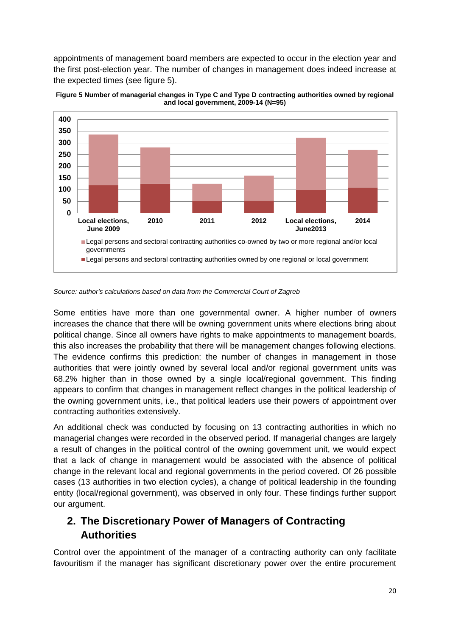appointments of management board members are expected to occur in the election year and the first post-election year. The number of changes in management does indeed increase at the expected times (see figure 5).



**Figure 5 Number of managerial changes in Type C and Type D contracting authorities owned by regional and local government, 2009-14 (N=95)**

Some entities have more than one governmental owner. A higher number of owners increases the chance that there will be owning government units where elections bring about political change. Since all owners have rights to make appointments to management boards, this also increases the probability that there will be management changes following elections. The evidence confirms this prediction: the number of changes in management in those authorities that were jointly owned by several local and/or regional government units was 68.2% higher than in those owned by a single local/regional government. This finding appears to confirm that changes in management reflect changes in the political leadership of the owning government units, i.e., that political leaders use their powers of appointment over contracting authorities extensively.

An additional check was conducted by focusing on 13 contracting authorities in which no managerial changes were recorded in the observed period. If managerial changes are largely a result of changes in the political control of the owning government unit, we would expect that a lack of change in management would be associated with the absence of political change in the relevant local and regional governments in the period covered. Of 26 possible cases (13 authorities in two election cycles), a change of political leadership in the founding entity (local/regional government), was observed in only four. These findings further support our argument.

# **2. The Discretionary Power of Managers of Contracting Authorities**

Control over the appointment of the manager of a contracting authority can only facilitate favouritism if the manager has significant discretionary power over the entire procurement

*Source: author's calculations based on data from the Commercial Court of Zagreb*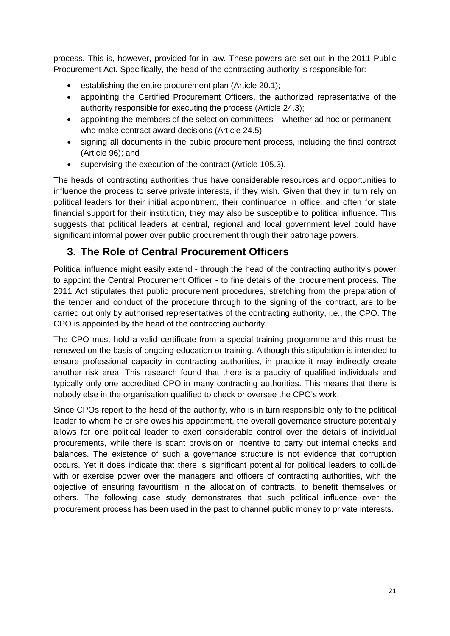process. This is, however, provided for in law. These powers are set out in the 2011 Public Procurement Act. Specifically, the head of the contracting authority is responsible for:

- establishing the entire procurement plan (Article 20.1);
- appointing the Certified Procurement Officers, the authorized representative of the authority responsible for executing the process (Article 24.3);
- appointing the members of the selection committees whether ad hoc or permanent who make contract award decisions (Article 24.5):
- signing all documents in the public procurement process, including the final contract (Article 96); and
- supervising the execution of the contract (Article 105.3).

The heads of contracting authorities thus have considerable resources and opportunities to influence the process to serve private interests, if they wish. Given that they in turn rely on political leaders for their initial appointment, their continuance in office, and often for state financial support for their institution, they may also be susceptible to political influence. This suggests that political leaders at central, regional and local government level could have significant informal power over public procurement through their patronage powers.

## **3. The Role of Central Procurement Officers**

Political influence might easily extend - through the head of the contracting authority's power to appoint the Central Procurement Officer - to fine details of the procurement process. The 2011 Act stipulates that public procurement procedures, stretching from the preparation of the tender and conduct of the procedure through to the signing of the contract, are to be carried out only by authorised representatives of the contracting authority, i.e., the CPO. The CPO is appointed by the head of the contracting authority.

The CPO must hold a valid certificate from a special training programme and this must be renewed on the basis of ongoing education or training. Although this stipulation is intended to ensure professional capacity in contracting authorities, in practice it may indirectly create another risk area. This research found that there is a paucity of qualified individuals and typically only one accredited CPO in many contracting authorities. This means that there is nobody else in the organisation qualified to check or oversee the CPO's work.

Since CPOs report to the head of the authority, who is in turn responsible only to the political leader to whom he or she owes his appointment, the overall governance structure potentially allows for one political leader to exert considerable control over the details of individual procurements, while there is scant provision or incentive to carry out internal checks and balances. The existence of such a governance structure is not evidence that corruption occurs. Yet it does indicate that there is significant potential for political leaders to collude with or exercise power over the managers and officers of contracting authorities, with the objective of ensuring favouritism in the allocation of contracts, to benefit themselves or others. The following case study demonstrates that such political influence over the procurement process has been used in the past to channel public money to private interests.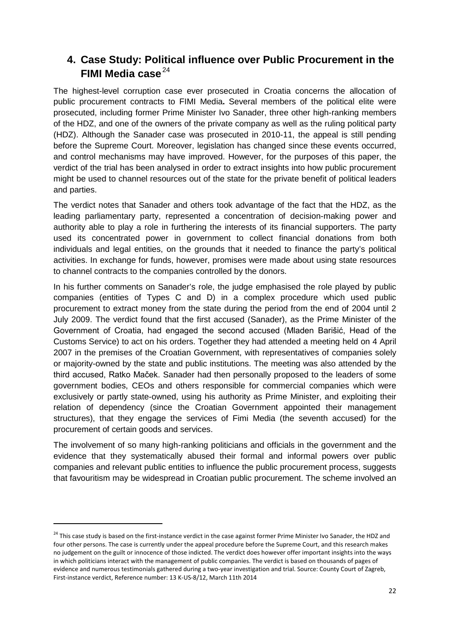## **4. Case Study: Political influence over Public Procurement in the FIMI Media case**<sup>[24](#page-21-0)</sup>

The highest-level corruption case ever prosecuted in Croatia concerns the allocation of public procurement contracts to FIMI Media**.** Several members of the political elite were prosecuted, including former Prime Minister Ivo Sanader, three other high-ranking members of the HDZ, and one of the owners of the private company as well as the ruling political party (HDZ). Although the Sanader case was prosecuted in 2010-11, the appeal is still pending before the Supreme Court. Moreover, legislation has changed since these events occurred, and control mechanisms may have improved. However, for the purposes of this paper, the verdict of the trial has been analysed in order to extract insights into how public procurement might be used to channel resources out of the state for the private benefit of political leaders and parties.

The verdict notes that Sanader and others took advantage of the fact that the HDZ, as the leading parliamentary party, represented a concentration of decision-making power and authority able to play a role in furthering the interests of its financial supporters. The party used its concentrated power in government to collect financial donations from both individuals and legal entities, on the grounds that it needed to finance the party's political activities. In exchange for funds, however, promises were made about using state resources to channel contracts to the companies controlled by the donors.

In his further comments on Sanader's role, the judge emphasised the role played by public companies (entities of Types C and D) in a complex procedure which used public procurement to extract money from the state during the period from the end of 2004 until 2 July 2009. The verdict found that the first accused (Sanader), as the Prime Minister of the Government of Croatia, had engaged the second accused (Mladen Barišić, Head of the Customs Service) to act on his orders. Together they had attended a meeting held on 4 April 2007 in the premises of the Croatian Government, with representatives of companies solely or majority-owned by the state and public institutions. The meeting was also attended by the third accused, Ratko Maček. Sanader had then personally proposed to the leaders of some government bodies, CEOs and others responsible for commercial companies which were exclusively or partly state-owned, using his authority as Prime Minister, and exploiting their relation of dependency (since the Croatian Government appointed their management structures), that they engage the services of Fimi Media (the seventh accused) for the procurement of certain goods and services.

The involvement of so many high-ranking politicians and officials in the government and the evidence that they systematically abused their formal and informal powers over public companies and relevant public entities to influence the public procurement process, suggests that favouritism may be widespread in Croatian public procurement. The scheme involved an

 $\overline{a}$ 

<span id="page-21-0"></span><sup>&</sup>lt;sup>24</sup> This case study is based on the first-instance verdict in the case against former Prime Minister Ivo Sanader, the HDZ and four other persons. The case is currently under the appeal procedure before the Supreme Court, and this research makes no judgement on the guilt or innocence of those indicted. The verdict does however offer important insights into the ways in which politicians interact with the management of public companies. The verdict is based on thousands of pages of evidence and numerous testimonials gathered during a two-year investigation and trial. Source: County Court of Zagreb, First-instance verdict, Reference number: 13 K-US-8/12, March 11th 2014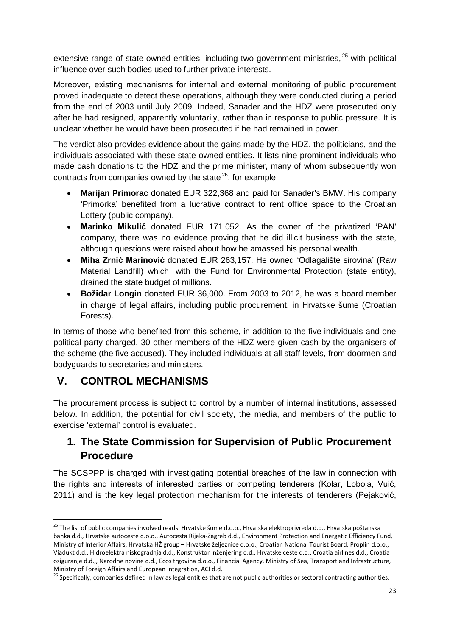extensive range of state-owned entities, including two government ministries,<sup>[25](#page-22-0)</sup> with political influence over such bodies used to further private interests.

Moreover, existing mechanisms for internal and external monitoring of public procurement proved inadequate to detect these operations, although they were conducted during a period from the end of 2003 until July 2009. Indeed, Sanader and the HDZ were prosecuted only after he had resigned, apparently voluntarily, rather than in response to public pressure. It is unclear whether he would have been prosecuted if he had remained in power.

The verdict also provides evidence about the gains made by the HDZ, the politicians, and the individuals associated with these state-owned entities. It lists nine prominent individuals who made cash donations to the HDZ and the prime minister, many of whom subsequently won contracts from companies owned by the state  $26$ , for example:

- **Marijan Primorac** donated EUR 322,368 and paid for Sanader's BMW. His company 'Primorka' benefited from a lucrative contract to rent office space to the Croatian Lottery (public company).
- **Marinko Mikulić** donated EUR 171,052. As the owner of the privatized 'PAN' company, there was no evidence proving that he did illicit business with the state, although questions were raised about how he amassed his personal wealth.
- **Miha Zrnić Marinović** donated EUR 263,157. He owned 'Odlagalište sirovina' (Raw Material Landfill) which, with the Fund for Environmental Protection (state entity), drained the state budget of millions.
- **Božidar Longin** donated EUR 36,000. From 2003 to 2012, he was a board member in charge of legal affairs, including public procurement, in Hrvatske šume (Croatian Forests).

In terms of those who benefited from this scheme, in addition to the five individuals and one political party charged, 30 other members of the HDZ were given cash by the organisers of the scheme (the five accused). They included individuals at all staff levels, from doormen and bodyguards to secretaries and ministers.

# **V. CONTROL MECHANISMS**

The procurement process is subject to control by a number of internal institutions, assessed below. In addition, the potential for civil society, the media, and members of the public to exercise 'external' control is evaluated.

## **1. The State Commission for Supervision of Public Procurement Procedure**

The SCSPPP is charged with investigating potential breaches of the law in connection with the rights and interests of interested parties or competing tenderers (Kolar, Loboja, Vuić, 2011) and is the key legal protection mechanism for the interests of tenderers (Pejaković,

<span id="page-22-0"></span><sup>&</sup>lt;sup>25</sup> The list of public companies involved reads: Hrvatske šume d.o.o., Hrvatska elektroprivreda d.d., Hrvatska poštanska banka d.d., Hrvatske autoceste d.o.o., Autocesta Rijeka-Zagreb d.d., Environment Protection and Energetic Efficiency Fund, Ministry of Interior Affairs, Hrvatska HŽ group – Hrvatske željeznice d.o.o., Croatian National Tourist Board, Proplin d.o.o., Viadukt d.d., Hidroelektra niskogradnja d.d., Konstruktor inženjering d.d., Hrvatske ceste d.d., Croatia airlines d.d., Croatia osiguranje d.d.,, Narodne novine d.d., Ecos trgovina d.o.o., Financial Agency, Ministry of Sea, Transport and Infrastructure,  $\overline{a}$ 

<span id="page-22-1"></span>Ministry of Foreign Affairs and European Integration, ACI d.d.  $^{26}$  Specifically, companies defined in law as legal entities that are not public authorities or sectoral contracting authorities.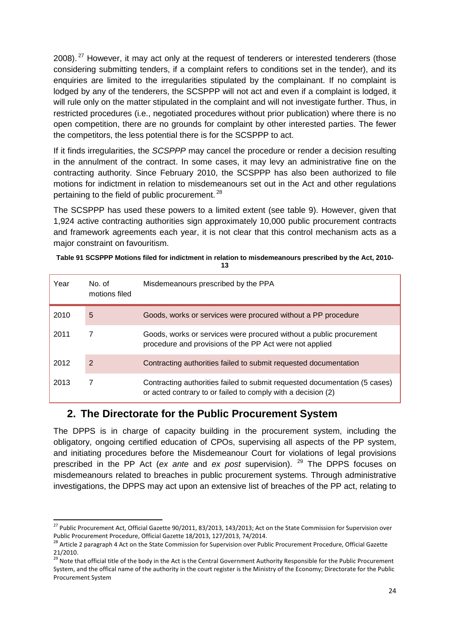2008).<sup>[27](#page-23-0)</sup> However, it may act only at the request of tenderers or interested tenderers (those considering submitting tenders, if a complaint refers to conditions set in the tender), and its enquiries are limited to the irregularities stipulated by the complainant. If no complaint is lodged by any of the tenderers, the SCSPPP will not act and even if a complaint is lodged, it will rule only on the matter stipulated in the complaint and will not investigate further. Thus, in restricted procedures (i.e., negotiated procedures without prior publication) where there is no open competition, there are no grounds for complaint by other interested parties. The fewer the competitors, the less potential there is for the SCSPPP to act.

If it finds irregularities, the *SCSPPP* may cancel the procedure or render a decision resulting in the annulment of the contract. In some cases, it may levy an administrative fine on the contracting authority. Since February 2010, the SCSPPP has also been authorized to file motions for indictment in relation to misdemeanours set out in the Act and other regulations pertaining to the field of public procurement.<sup>[28](#page-23-1)</sup>

The SCSPPP has used these powers to a limited extent (see table 9). However, given that 1,924 active contracting authorities sign approximately 10,000 public procurement contracts and framework agreements each year, it is not clear that this control mechanism acts as a major constraint on favouritism.

| Year | No. of<br>motions filed | Misdemeanours prescribed by the PPA                                                                                                        |
|------|-------------------------|--------------------------------------------------------------------------------------------------------------------------------------------|
| 2010 | 5                       | Goods, works or services were procured without a PP procedure                                                                              |
| 2011 |                         | Goods, works or services were procured without a public procurement<br>procedure and provisions of the PP Act were not applied             |
| 2012 | 2                       | Contracting authorities failed to submit requested documentation                                                                           |
| 2013 |                         | Contracting authorities failed to submit requested documentation (5 cases)<br>or acted contrary to or failed to comply with a decision (2) |

**Table 91 SCSPPP Motions filed for indictment in relation to misdemeanours prescribed by the Act, 2010- 13**

#### **2. The Directorate for the Public Procurement System**

The DPPS is in charge of capacity building in the procurement system, including the obligatory, ongoing certified education of CPOs, supervising all aspects of the PP system, and initiating procedures before the Misdemeanour Court for violations of legal provisions prescribed in the PP Act (*ex ante* and *ex post* supervision). <sup>[29](#page-23-2)</sup> The DPPS focuses on misdemeanours related to breaches in public procurement systems. Through administrative investigations, the DPPS may act upon an extensive list of breaches of the PP act, relating to

<span id="page-23-0"></span> $27$  Public Procurement Act, Official Gazette 90/2011, 83/2013, 143/2013; Act on the State Commission for Supervision over Public Procurement Procedure, Official Gazette 18/2013, 127/2013, 74/2014.<br><sup>28</sup> Article 2 paragraph 4 Act on the State Commission for Supervision over Public Procurement Procedure, Official Gazette  $\overline{a}$ 

<span id="page-23-1"></span><sup>21/2010.</sup>

<span id="page-23-2"></span><sup>&</sup>lt;sup>29</sup> Note that official title of the body in the Act is the Central Government Authority Responsible for the Public Procurement System, and the offical name of the authority in the court register is the Ministry of the Economy; Directorate for the Public Procurement System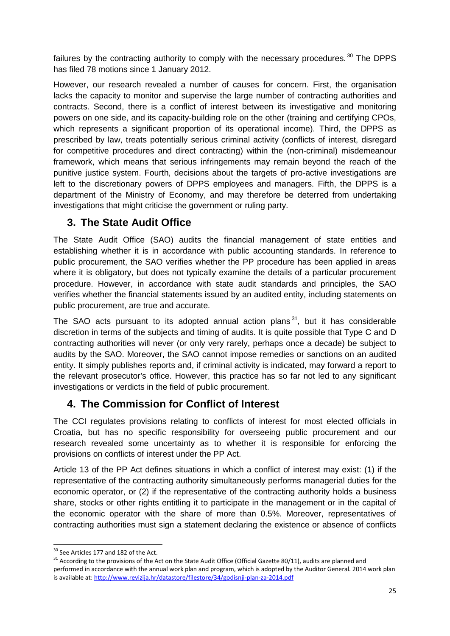failures by the contracting authority to comply with the necessary procedures.  $30$  The DPPS has filed 78 motions since 1 January 2012.

However, our research revealed a number of causes for concern. First, the organisation lacks the capacity to monitor and supervise the large number of contracting authorities and contracts. Second, there is a conflict of interest between its investigative and monitoring powers on one side, and its capacity-building role on the other (training and certifying CPOs, which represents a significant proportion of its operational income). Third, the DPPS as prescribed by law, treats potentially serious criminal activity (conflicts of interest, disregard for competitive procedures and direct contracting) within the (non-criminal) misdemeanour framework, which means that serious infringements may remain beyond the reach of the punitive justice system. Fourth, decisions about the targets of pro-active investigations are left to the discretionary powers of DPPS employees and managers. Fifth, the DPPS is a department of the Ministry of Economy, and may therefore be deterred from undertaking investigations that might criticise the government or ruling party.

## **3. The State Audit Office**

The State Audit Office (SAO) audits the financial management of state entities and establishing whether it is in accordance with public accounting standards. In reference to public procurement, the SAO verifies whether the PP procedure has been applied in areas where it is obligatory, but does not typically examine the details of a particular procurement procedure. However, in accordance with state audit standards and principles, the SAO verifies whether the financial statements issued by an audited entity, including statements on public procurement, are true and accurate.

The SAO acts pursuant to its adopted annual action plans  $31$ , but it has considerable discretion in terms of the subjects and timing of audits. It is quite possible that Type C and D contracting authorities will never (or only very rarely, perhaps once a decade) be subject to audits by the SAO. Moreover, the SAO cannot impose remedies or sanctions on an audited entity. It simply publishes reports and, if criminal activity is indicated, may forward a report to the relevant prosecutor's office. However, this practice has so far not led to any significant investigations or verdicts in the field of public procurement.

# **4. The Commission for Conflict of Interest**

The CCI regulates provisions relating to conflicts of interest for most elected officials in Croatia, but has no specific responsibility for overseeing public procurement and our research revealed some uncertainty as to whether it is responsible for enforcing the provisions on conflicts of interest under the PP Act.

Article 13 of the PP Act defines situations in which a conflict of interest may exist: (1) if the representative of the contracting authority simultaneously performs managerial duties for the economic operator, or (2) if the representative of the contracting authority holds a business share, stocks or other rights entitling it to participate in the management or in the capital of the economic operator with the share of more than 0.5%. Moreover, representatives of contracting authorities must sign a statement declaring the existence or absence of conflicts

<span id="page-24-0"></span><sup>&</sup>lt;sup>30</sup> See Articles 177 and 182 of the Act.

<span id="page-24-1"></span><sup>&</sup>lt;sup>31</sup> According to the provisions of the Act on the State Audit Office (Official Gazette 80/11), audits are planned and performed in accordance with the annual work plan and program, which is adopted by the Auditor General. 2014 work plan is available at[: http://www.revizija.hr/datastore/filestore/34/godisnji-plan-za-2014.pdf](http://www.revizija.hr/datastore/filestore/34/godisnji-plan-za-2014.pdf)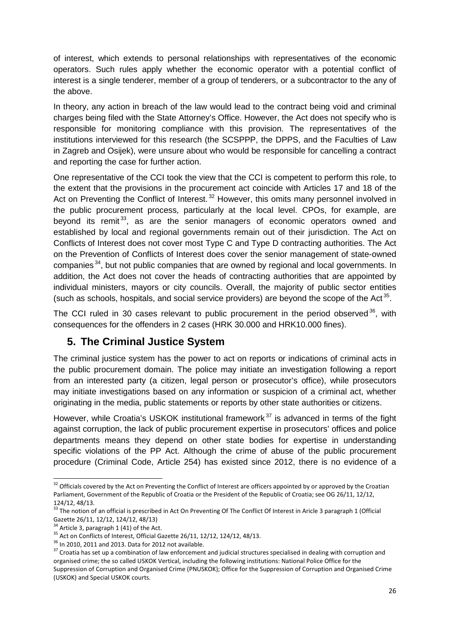of interest, which extends to personal relationships with representatives of the economic operators. Such rules apply whether the economic operator with a potential conflict of interest is a single tenderer, member of a group of tenderers, or a subcontractor to the any of the above.

In theory, any action in breach of the law would lead to the contract being void and criminal charges being filed with the State Attorney's Office. However, the Act does not specify who is responsible for monitoring compliance with this provision. The representatives of the institutions interviewed for this research (the SCSPPP, the DPPS, and the Faculties of Law in Zagreb and Osijek), were unsure about who would be responsible for cancelling a contract and reporting the case for further action.

One representative of the CCI took the view that the CCI is competent to perform this role, to the extent that the provisions in the procurement act coincide with Articles 17 and 18 of the Act on Preventing the Conflict of Interest.<sup>[32](#page-25-0)</sup> However, this omits many personnel involved in the public procurement process, particularly at the local level. CPOs, for example, are beyond its remit<sup>[33](#page-25-1)</sup>, as are the senior managers of economic operators owned and established by local and regional governments remain out of their jurisdiction. The Act on Conflicts of Interest does not cover most Type C and Type D contracting authorities. The Act on the Prevention of Conflicts of Interest does cover the senior management of state-owned companies  $34$ , but not public companies that are owned by regional and local governments. In addition, the Act does not cover the heads of contracting authorities that are appointed by individual ministers, mayors or city councils. Overall, the majority of public sector entities (such as schools, hospitals, and social service providers) are beyond the scope of the Act<sup>[35](#page-25-3)</sup>.

The CCI ruled in 30 cases relevant to public procurement in the period observed  $36$ , with consequences for the offenders in 2 cases (HRK 30.000 and HRK10.000 fines).

## **5. The Criminal Justice System**

The criminal justice system has the power to act on reports or indications of criminal acts in the public procurement domain. The police may initiate an investigation following a report from an interested party (a citizen, legal person or prosecutor's office), while prosecutors may initiate investigations based on any information or suspicion of a criminal act, whether originating in the media, public statements or reports by other state authorities or citizens.

However, while Croatia's USKOK institutional framework<sup>[37](#page-25-5)</sup> is advanced in terms of the fight against corruption, the lack of public procurement expertise in prosecutors' offices and police departments means they depend on other state bodies for expertise in understanding specific violations of the PP Act. Although the crime of abuse of the public procurement procedure (Criminal Code, Article 254) has existed since 2012, there is no evidence of a

<span id="page-25-0"></span> $32$  Officials covered by the Act on Preventing the Conflict of Interest are officers appointed by or approved by the Croatian Parliament, Government of the Republic of Croatia or the President of the Republic of Croatia; see OG 26/11, 12/12, 124/12, 48/13.  $\overline{\phantom{a}}$ 

<span id="page-25-1"></span><sup>33</sup> The notion of an official is prescribed in Act On Preventing Of The Conflict Of Interest in Aricle 3 paragraph 1 (Official Gazette 26/11, 12/12, 124/12, 48/13)<br><sup>34</sup> Article 3, paragraph 1 (41) of the Act.

<span id="page-25-5"></span>

<span id="page-25-4"></span><span id="page-25-3"></span><span id="page-25-2"></span><sup>&</sup>lt;sup>35</sup> Act on Conflicts of Interest, Official Gazette 26/11, 12/12, 124/12, 48/13.<br><sup>36</sup> In 2010, 2011 and 2013. Data for 2012 not available.<br><sup>37</sup> Croatia has set up a combination of law enforcement and judicial structures s organised crime; the so called USKOK Vertical, including the following institutions: National Police Office for the Suppression of Corruption and Organised Crime (PNUSKOK); Office for the Suppression of Corruption and Organised Crime (USKOK) and Special USKOK courts.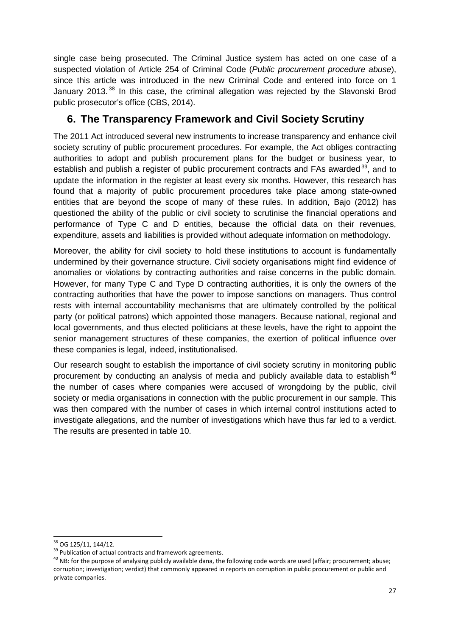single case being prosecuted. The Criminal Justice system has acted on one case of a suspected violation of Article 254 of Criminal Code (*Public procurement procedure abuse*), since this article was introduced in the new Criminal Code and entered into force on 1 January 2013.<sup>[38](#page-26-0)</sup> In this case, the criminal allegation was rejected by the Slavonski Brod public prosecutor's office (CBS, 2014).

## **6. The Transparency Framework and Civil Society Scrutiny**

The 2011 Act introduced several new instruments to increase transparency and enhance civil society scrutiny of public procurement procedures. For example, the Act obliges contracting authorities to adopt and publish procurement plans for the budget or business year, to establish and publish a register of public procurement contracts and FAs awarded<sup>[39](#page-26-1)</sup>, and to update the information in the register at least every six months. However, this research has found that a majority of public procurement procedures take place among state-owned entities that are beyond the scope of many of these rules. In addition, Bajo (2012) has questioned the ability of the public or civil society to scrutinise the financial operations and performance of Type C and D entities, because the official data on their revenues, expenditure, assets and liabilities is provided without adequate information on methodology.

Moreover, the ability for civil society to hold these institutions to account is fundamentally undermined by their governance structure. Civil society organisations might find evidence of anomalies or violations by contracting authorities and raise concerns in the public domain. However, for many Type C and Type D contracting authorities, it is only the owners of the contracting authorities that have the power to impose sanctions on managers. Thus control rests with internal accountability mechanisms that are ultimately controlled by the political party (or political patrons) which appointed those managers. Because national, regional and local governments, and thus elected politicians at these levels, have the right to appoint the senior management structures of these companies, the exertion of political influence over these companies is legal, indeed, institutionalised.

Our research sought to establish the importance of civil society scrutiny in monitoring public procurement by conducting an analysis of media and publicly available data to establish<sup>[40](#page-26-2)</sup> the number of cases where companies were accused of wrongdoing by the public, civil society or media organisations in connection with the public procurement in our sample. This was then compared with the number of cases in which internal control institutions acted to investigate allegations, and the number of investigations which have thus far led to a verdict. The results are presented in table 10.

<span id="page-26-0"></span><sup>&</sup>lt;sup>38</sup> OG 125/11, 144/12.

<span id="page-26-2"></span>

<span id="page-26-1"></span><sup>&</sup>lt;sup>39</sup> Publication of actual contracts and framework agreements.<br><sup>40</sup> NB: for the purpose of analysing publicly available dana, the following code words are used (affair; procurement; abuse; corruption; investigation; verdict) that commonly appeared in reports on corruption in public procurement or public and private companies.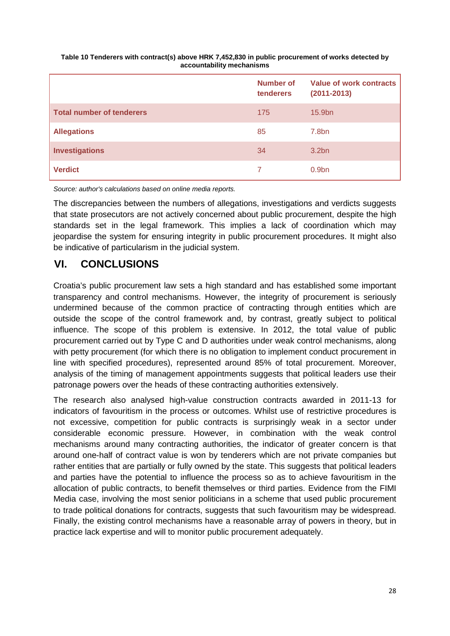#### **Table 10 Tenderers with contract(s) above HRK 7,452,830 in public procurement of works detected by accountability mechanisms**

|                                  | Number of<br>tenderers | Value of work contracts<br>$(2011 - 2013)$ |
|----------------------------------|------------------------|--------------------------------------------|
| <b>Total number of tenderers</b> | 175                    | 15.9bn                                     |
| <b>Allegations</b>               | 85                     | 7.8 <sub>bn</sub>                          |
| <b>Investigations</b>            | 34                     | 3.2 <sub>bn</sub>                          |
| <b>Verdict</b>                   |                        | 0.9 <sub>bn</sub>                          |

*Source: author's calculations based on online media reports.*

The discrepancies between the numbers of allegations, investigations and verdicts suggests that state prosecutors are not actively concerned about public procurement, despite the high standards set in the legal framework. This implies a lack of coordination which may jeopardise the system for ensuring integrity in public procurement procedures. It might also be indicative of particularism in the judicial system.

## **VI. CONCLUSIONS**

Croatia's public procurement law sets a high standard and has established some important transparency and control mechanisms. However, the integrity of procurement is seriously undermined because of the common practice of contracting through entities which are outside the scope of the control framework and, by contrast, greatly subject to political influence. The scope of this problem is extensive. In 2012, the total value of public procurement carried out by Type C and D authorities under weak control mechanisms, along with petty procurement (for which there is no obligation to implement conduct procurement in line with specified procedures), represented around 85% of total procurement. Moreover, analysis of the timing of management appointments suggests that political leaders use their patronage powers over the heads of these contracting authorities extensively.

The research also analysed high-value construction contracts awarded in 2011-13 for indicators of favouritism in the process or outcomes. Whilst use of restrictive procedures is not excessive, competition for public contracts is surprisingly weak in a sector under considerable economic pressure. However, in combination with the weak control mechanisms around many contracting authorities, the indicator of greater concern is that around one-half of contract value is won by tenderers which are not private companies but rather entities that are partially or fully owned by the state. This suggests that political leaders and parties have the potential to influence the process so as to achieve favouritism in the allocation of public contracts, to benefit themselves or third parties. Evidence from the FIMI Media case, involving the most senior politicians in a scheme that used public procurement to trade political donations for contracts, suggests that such favouritism may be widespread. Finally, the existing control mechanisms have a reasonable array of powers in theory, but in practice lack expertise and will to monitor public procurement adequately.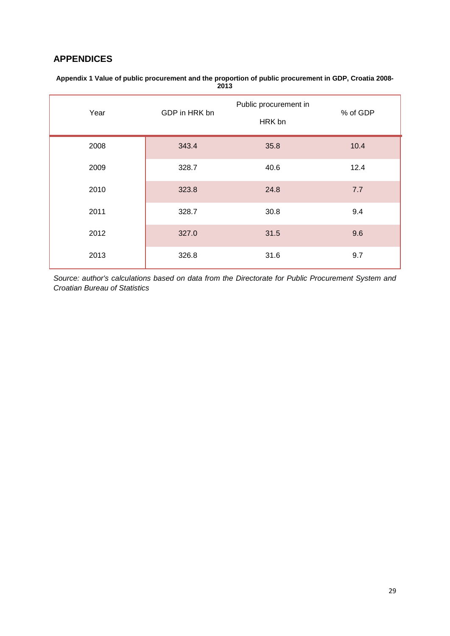#### **APPENDICES**

| Year | GDP in HRK bn |      | % of GDP |
|------|---------------|------|----------|
| 2008 | 343.4         | 35.8 | 10.4     |
| 2009 | 328.7         | 40.6 | 12.4     |
| 2010 | 323.8         | 24.8 | 7.7      |
| 2011 | 328.7         | 30.8 | 9.4      |
| 2012 | 327.0         | 31.5 | 9.6      |
| 2013 | 326.8         | 31.6 | 9.7      |

**Appendix 1 Value of public procurement and the proportion of public procurement in GDP, Croatia 2008- 2013**

*Source: author's calculations based on data from the Directorate for Public Procurement System and Croatian Bureau of Statistics*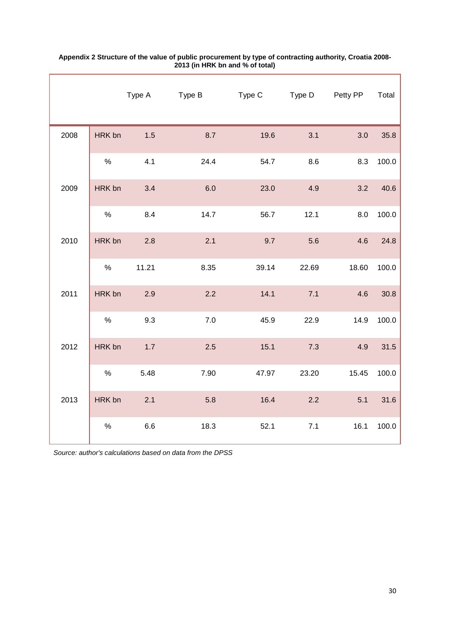|      |        | Type A | Type B  | Type C | Type D | Petty PP | Total |
|------|--------|--------|---------|--------|--------|----------|-------|
| 2008 | HRK bn | 1.5    | 8.7     | 19.6   | 3.1    | 3.0      | 35.8  |
|      | $\%$   | 4.1    | 24.4    | 54.7   | 8.6    | 8.3      | 100.0 |
| 2009 | HRK bn | 3.4    | 6.0     | 23.0   | 4.9    | 3.2      | 40.6  |
|      | $\%$   | 8.4    | 14.7    | 56.7   | 12.1   | 8.0      | 100.0 |
| 2010 | HRK bn | 2.8    | 2.1     | 9.7    | 5.6    | 4.6      | 24.8  |
|      | $\%$   | 11.21  | 8.35    | 39.14  | 22.69  | 18.60    | 100.0 |
| 2011 | HRK bn | 2.9    | 2.2     | 14.1   | 7.1    | 4.6      | 30.8  |
|      | $\%$   | 9.3    | $7.0\,$ | 45.9   | 22.9   | 14.9     | 100.0 |
| 2012 | HRK bn | 1.7    | 2.5     | 15.1   | 7.3    | 4.9      | 31.5  |
|      | $\%$   | 5.48   | 7.90    | 47.97  | 23.20  | 15.45    | 100.0 |
| 2013 | HRK bn | 2.1    | 5.8     | 16.4   | 2.2    | 5.1      | 31.6  |
|      | $\%$   | 6.6    | 18.3    | 52.1   | $7.1$  | 16.1     | 100.0 |

#### **Appendix 2 Structure of the value of public procurement by type of contracting authority, Croatia 2008- 2013 (in HRK bn and % of total)**

*Source: author's calculations based on data from the DPSS*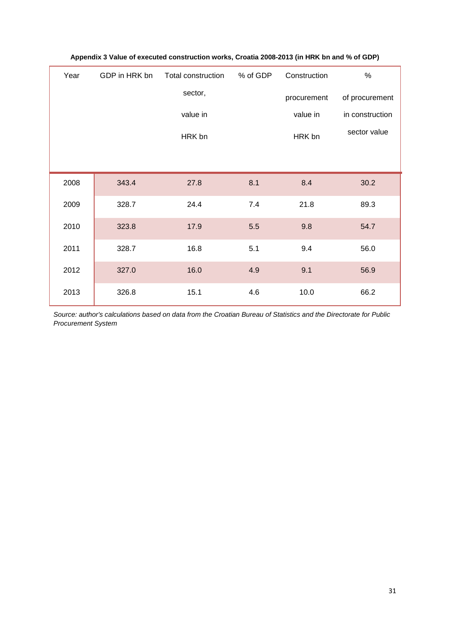| Year | GDP in HRK bn | Total construction | % of GDP | Construction | $\%$            |
|------|---------------|--------------------|----------|--------------|-----------------|
|      |               | sector,            |          | procurement  | of procurement  |
|      |               | value in           |          | value in     | in construction |
|      |               | HRK bn             |          | HRK bn       | sector value    |
|      |               |                    |          |              |                 |
| 2008 | 343.4         | 27.8               | 8.1      | 8.4          | 30.2            |
| 2009 | 328.7         | 24.4               | 7.4      | 21.8         | 89.3            |
| 2010 | 323.8         | 17.9               | 5.5      | 9.8          | 54.7            |
| 2011 | 328.7         | 16.8               | 5.1      | 9.4          | 56.0            |
| 2012 | 327.0         | 16.0               | 4.9      | 9.1          | 56.9            |
| 2013 | 326.8         | 15.1               | 4.6      | 10.0         | 66.2            |

#### **Appendix 3 Value of executed construction works, Croatia 2008-2013 (in HRK bn and % of GDP)**

*Source: author's calculations based on data from the Croatian Bureau of Statistics and the Directorate for Public Procurement System*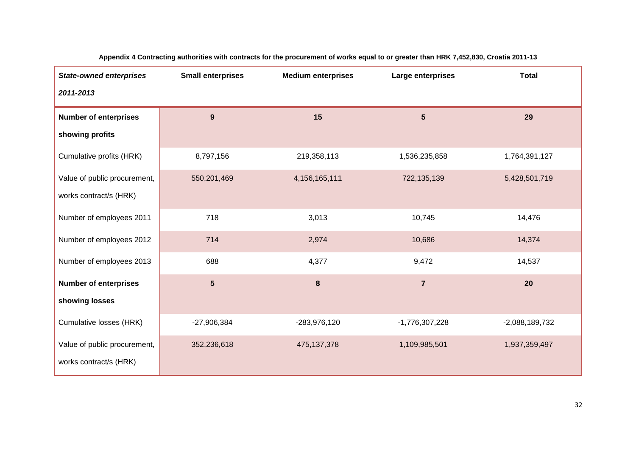| <b>State-owned enterprises</b> | <b>Small enterprises</b> | <b>Medium enterprises</b> | Large enterprises | <b>Total</b>     |
|--------------------------------|--------------------------|---------------------------|-------------------|------------------|
| 2011-2013                      |                          |                           |                   |                  |
| <b>Number of enterprises</b>   | 9                        | 15                        | $5\phantom{.}$    | 29               |
| showing profits                |                          |                           |                   |                  |
| Cumulative profits (HRK)       | 8,797,156                | 219,358,113               | 1,536,235,858     | 1,764,391,127    |
| Value of public procurement,   | 550,201,469              | 4, 156, 165, 111          | 722,135,139       | 5,428,501,719    |
| works contract/s (HRK)         |                          |                           |                   |                  |
| Number of employees 2011       | 718                      | 3,013                     | 10,745            | 14,476           |
| Number of employees 2012       | 714                      | 2,974                     | 10,686            | 14,374           |
| Number of employees 2013       | 688                      | 4,377                     | 9,472             | 14,537           |
| <b>Number of enterprises</b>   | $5\phantom{1}$           | 8                         | $\overline{7}$    | 20               |
| showing losses                 |                          |                           |                   |                  |
| Cumulative losses (HRK)        | $-27,906,384$            | -283,976,120              | -1,776,307,228    | $-2,088,189,732$ |
| Value of public procurement,   | 352,236,618              | 475, 137, 378             | 1,109,985,501     | 1,937,359,497    |
| works contract/s (HRK)         |                          |                           |                   |                  |

**Appendix 4 Contracting authorities with contracts for the procurement of works equal to or greater than HRK 7,452,830, Croatia 2011-13**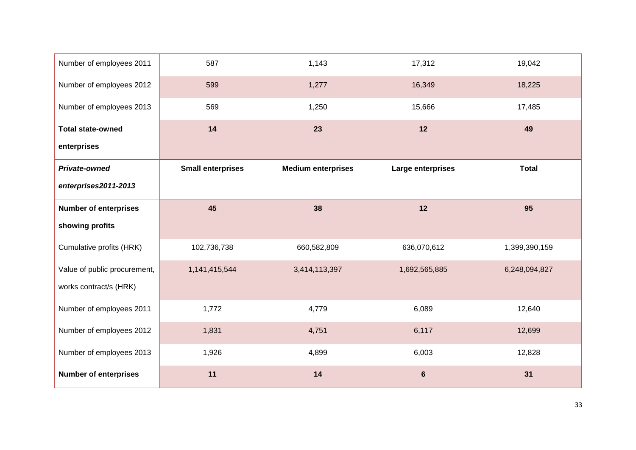| Number of employees 2011     | 587                      | 1,143                     | 17,312            | 19,042        |
|------------------------------|--------------------------|---------------------------|-------------------|---------------|
| Number of employees 2012     | 599                      | 1,277                     | 16,349            | 18,225        |
| Number of employees 2013     | 569                      | 1,250                     | 15,666            | 17,485        |
| <b>Total state-owned</b>     | 14                       | 23                        | 12                | 49            |
| enterprises                  |                          |                           |                   |               |
| Private-owned                | <b>Small enterprises</b> | <b>Medium enterprises</b> | Large enterprises | <b>Total</b>  |
| enterprises2011-2013         |                          |                           |                   |               |
| <b>Number of enterprises</b> | 45                       | 38                        | 12                | 95            |
| showing profits              |                          |                           |                   |               |
| Cumulative profits (HRK)     | 102,736,738              | 660,582,809               | 636,070,612       | 1,399,390,159 |
| Value of public procurement, | 1,141,415,544            | 3,414,113,397             | 1,692,565,885     | 6,248,094,827 |
| works contract/s (HRK)       |                          |                           |                   |               |
| Number of employees 2011     | 1,772                    | 4,779                     | 6,089             | 12,640        |
| Number of employees 2012     | 1,831                    | 4,751                     | 6,117             | 12,699        |
| Number of employees 2013     | 1,926                    | 4,899                     | 6,003             | 12,828        |
| <b>Number of enterprises</b> | 11                       | 14                        | $6\phantom{a}$    | 31            |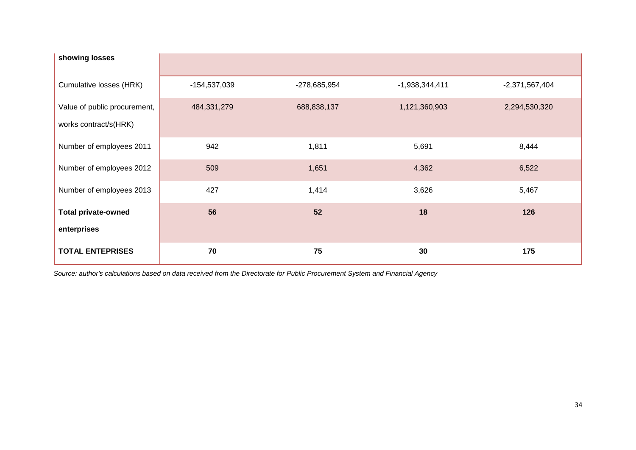| showing losses                                        |              |              |                  |                  |
|-------------------------------------------------------|--------------|--------------|------------------|------------------|
| Cumulative losses (HRK)                               | -154,537,039 | -278,685,954 | $-1,938,344,411$ | $-2,371,567,404$ |
| Value of public procurement,<br>works contract/s(HRK) | 484,331,279  | 688,838,137  | 1,121,360,903    | 2,294,530,320    |
| Number of employees 2011                              | 942          | 1,811        | 5,691            | 8,444            |
| Number of employees 2012                              | 509          | 1,651        | 4,362            | 6,522            |
| Number of employees 2013                              | 427          | 1,414        | 3,626            | 5,467            |
| <b>Total private-owned</b>                            | 56           | 52           | 18               | 126              |
| enterprises                                           |              |              |                  |                  |
| <b>TOTAL ENTEPRISES</b>                               | 70           | 75           | 30               | 175              |

*Source: author's calculations based on data received from the Directorate for Public Procurement System and Financial Agency*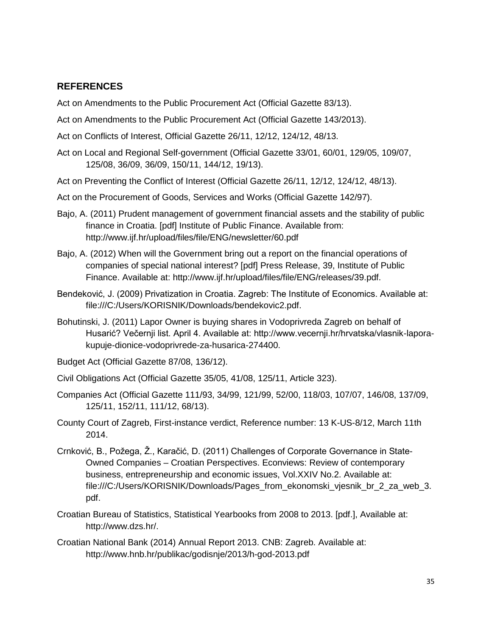#### **REFERENCES**

Act on Amendments to the Public Procurement Act (Official Gazette 83/13).

- Act on Amendments to the Public Procurement Act (Official Gazette 143/2013).
- Act on Conflicts of Interest, Official Gazette 26/11, 12/12, 124/12, 48/13.
- Act on Local and Regional Self-government (Official Gazette 33/01, 60/01, 129/05, 109/07, 125/08, 36/09, 36/09, 150/11, 144/12, 19/13).
- Act on Preventing the Conflict of Interest (Official Gazette 26/11, 12/12, 124/12, 48/13).
- Act on the Procurement of Goods, Services and Works (Official Gazette 142/97).
- Bajo, A. (2011) Prudent management of government financial assets and the stability of public finance in Croatia. [pdf] Institute of Public Finance. Available from: http://www.ijf.hr/upload/files/file/ENG/newsletter/60.pdf
- Bajo, A. (2012) When will the Government bring out a report on the financial operations of companies of special national interest? [pdf] Press Release, 39, Institute of Public Finance. Available at: http://www.ijf.hr/upload/files/file/ENG/releases/39.pdf.
- Bendeković, J. (2009) Privatization in Croatia. Zagreb: The Institute of Economics. Available at: file:///C:/Users/KORISNIK/Downloads/bendekovic2.pdf.
- Bohutinski, J. (2011) Lapor Owner is buying shares in Vodoprivreda Zagreb on behalf of Husarić? Večernji list. April 4. Available at: http://www.vecernji.hr/hrvatska/vlasnik-laporakupuje-dionice-vodoprivrede-za-husarica-274400.
- Budget Act (Official Gazette 87/08, 136/12).
- Civil Obligations Act (Official Gazette 35/05, 41/08, 125/11, Article 323).
- Companies Act (Official Gazette 111/93, 34/99, 121/99, 52/00, 118/03, 107/07, 146/08, 137/09, 125/11, 152/11, 111/12, 68/13).
- County Court of Zagreb, First-instance verdict, Reference number: 13 K-US-8/12, March 11th 2014.
- Crnković, B., Požega, Ž., Karačić, D. (2011) Challenges of Corporate Governance in State-Owned Companies – Croatian Perspectives. Econviews: Review of contemporary business, entrepreneurship and economic issues, Vol.XXIV No.2. Available at: file:///C:/Users/KORISNIK/Downloads/Pages\_from\_ekonomski\_vjesnik\_br\_2\_za\_web\_3. pdf.
- Croatian Bureau of Statistics, Statistical Yearbooks from 2008 to 2013. [pdf.], Available at: http://www.dzs.hr/.
- Croatian National Bank (2014) Annual Report 2013. CNB: Zagreb. Available at: http://www.hnb.hr/publikac/godisnje/2013/h-god-2013.pdf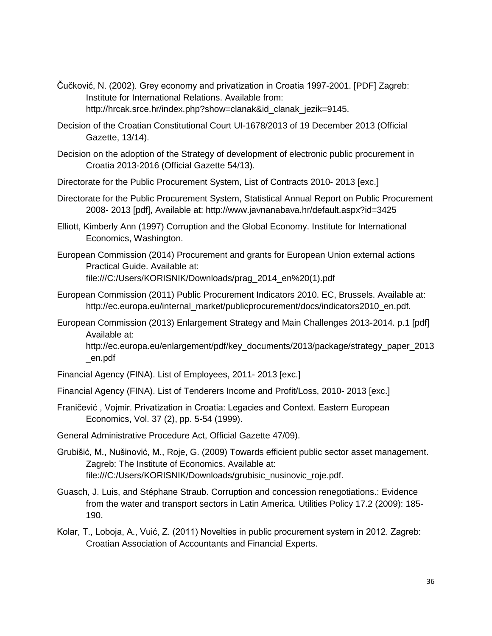- Čučković, N. (2002). Grey economy and privatization in Croatia 1997-2001. [PDF] Zagreb: Institute for International Relations. Available from: http://hrcak.srce.hr/index.php?show=clanak&id\_clanak\_jezik=9145.
- Decision of the Croatian Constitutional Court UI-1678/2013 of 19 December 2013 (Official Gazette, 13/14).
- Decision on the adoption of the Strategy of development of electronic public procurement in Croatia 2013-2016 (Official Gazette 54/13).
- Directorate for the Public Procurement System, List of Contracts 2010- 2013 [exc.]
- Directorate for the Public Procurement System, Statistical Annual Report on Public Procurement 2008- 2013 [pdf], Available at: http://www.javnanabava.hr/default.aspx?id=3425
- Elliott, Kimberly Ann (1997) Corruption and the Global Economy. Institute for International Economics, Washington.
- European Commission (2014) Procurement and grants for European Union external actions Practical Guide. Available at: file:///C:/Users/KORISNIK/Downloads/prag\_2014\_en%20(1).pdf
- European Commission (2011) Public Procurement Indicators 2010. EC, Brussels. Available at: http://ec.europa.eu/internal\_market/publicprocurement/docs/indicators2010\_en.pdf.
- European Commission (2013) Enlargement Strategy and Main Challenges 2013-2014. p.1 [pdf] Available at:

http://ec.europa.eu/enlargement/pdf/key\_documents/2013/package/strategy\_paper\_2013 \_en.pdf

- Financial Agency (FINA). List of Employees, 2011- 2013 [exc.]
- Financial Agency (FINA). List of Tenderers Income and Profit/Loss, 2010- 2013 [exc.]
- Franičević , Vojmir. Privatization in Croatia: Legacies and Context. Eastern European Economics, Vol. 37 (2), pp. 5-54 (1999).

General Administrative Procedure Act, Official Gazette 47/09).

- Grubišić, M., Nušinović, M., Roje, G. (2009) Towards efficient public sector asset management. Zagreb: The Institute of Economics. Available at: file:///C:/Users/KORISNIK/Downloads/grubisic\_nusinovic\_roje.pdf.
- Guasch, J. Luis, and Stéphane Straub. Corruption and concession renegotiations.: Evidence from the water and transport sectors in Latin America. Utilities Policy 17.2 (2009): 185- 190.
- Kolar, T., Loboja, A., Vuić, Z. (2011) Novelties in public procurement system in 2012. Zagreb: Croatian Association of Accountants and Financial Experts.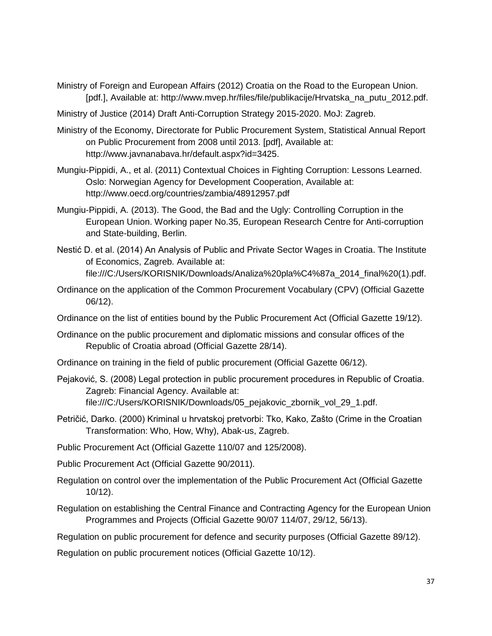- Ministry of Foreign and European Affairs (2012) Croatia on the Road to the European Union. [pdf.], Available at: http://www.mvep.hr/files/file/publikacije/Hrvatska\_na\_putu\_2012.pdf.
- Ministry of Justice (2014) Draft Anti-Corruption Strategy 2015-2020. MoJ: Zagreb.
- Ministry of the Economy, Directorate for Public Procurement System, Statistical Annual Report on Public Procurement from 2008 until 2013. [pdf], Available at: http://www.javnanabava.hr/default.aspx?id=3425.
- Mungiu-Pippidi, A., et al. (2011) Contextual Choices in Fighting Corruption: Lessons Learned. Oslo: Norwegian Agency for Development Cooperation, Available at: http://www.oecd.org/countries/zambia/48912957.pdf
- Mungiu-Pippidi, A. (2013). The Good, the Bad and the Ugly: Controlling Corruption in the European Union. Working paper No.35, European Research Centre for Anti-corruption and State-building, Berlin.
- Nestić D. et al. (2014) An Analysis of Public and Private Sector Wages in Croatia. The Institute of Economics, Zagreb. Available at: file:///C:/Users/KORISNIK/Downloads/Analiza%20pla%C4%87a\_2014\_final%20(1).pdf.
- Ordinance on the application of the Common Procurement Vocabulary (CPV) (Official Gazette 06/12).
- Ordinance on the list of entities bound by the Public Procurement Act (Official Gazette 19/12).
- Ordinance on the public procurement and diplomatic missions and consular offices of the Republic of Croatia abroad (Official Gazette 28/14).
- Ordinance on training in the field of public procurement (Official Gazette 06/12).
- Pejaković, S. (2008) Legal protection in public procurement procedures in Republic of Croatia. Zagreb: Financial Agency. Available at: file:///C:/Users/KORISNIK/Downloads/05\_pejakovic\_zbornik\_vol\_29\_1.pdf.
- Petričić, Darko. (2000) Kriminal u hrvatskoj pretvorbi: Tko, Kako, Zašto (Crime in the Croatian Transformation: Who, How, Why), Abak-us, Zagreb.
- Public Procurement Act (Official Gazette 110/07 and 125/2008).
- Public Procurement Act (Official Gazette 90/2011).
- Regulation on control over the implementation of the Public Procurement Act (Official Gazette 10/12).
- Regulation on establishing the Central Finance and Contracting Agency for the European Union Programmes and Projects (Official Gazette 90/07 114/07, 29/12, 56/13).
- Regulation on public procurement for defence and security purposes (Official Gazette 89/12).
- Regulation on public procurement notices (Official Gazette 10/12).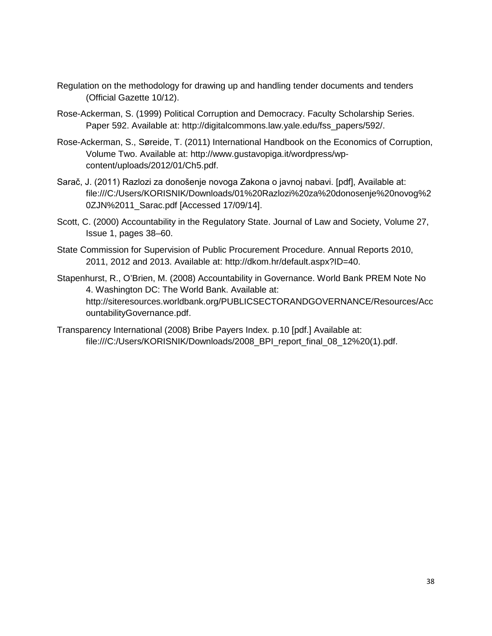- Regulation on the methodology for drawing up and handling tender documents and tenders (Official Gazette 10/12).
- Rose-Ackerman, S. (1999) Political Corruption and Democracy. Faculty Scholarship Series. Paper 592. Available at: http://digitalcommons.law.yale.edu/fss\_papers/592/.
- Rose-Ackerman, S., Søreide, T. (2011) International Handbook on the Economics of Corruption, Volume Two. Available at: http://www.gustavopiga.it/wordpress/wpcontent/uploads/2012/01/Ch5.pdf.
- Sarač, J. (2011) Razlozi za donošenje novoga Zakona o javnoj nabavi. [pdf], Available at: file:///C:/Users/KORISNIK/Downloads/01%20Razlozi%20za%20donosenje%20novog%2 0ZJN%2011\_Sarac.pdf [Accessed 17/09/14].
- Scott, C. (2000) Accountability in the Regulatory State. Journal of Law and Society, Volume 27, Issue 1, pages 38–60.
- State Commission for Supervision of Public Procurement Procedure. Annual Reports 2010, 2011, 2012 and 2013. Available at: http://dkom.hr/default.aspx?ID=40.

Stapenhurst, R., O'Brien, M. (2008) Accountability in Governance. World Bank PREM Note No 4. Washington DC: The World Bank. Available at: http://siteresources.worldbank.org/PUBLICSECTORANDGOVERNANCE/Resources/Acc ountabilityGovernance.pdf.

Transparency International (2008) Bribe Payers Index. p.10 [pdf.] Available at: file:///C:/Users/KORISNIK/Downloads/2008\_BPI\_report\_final\_08\_12%20(1).pdf.